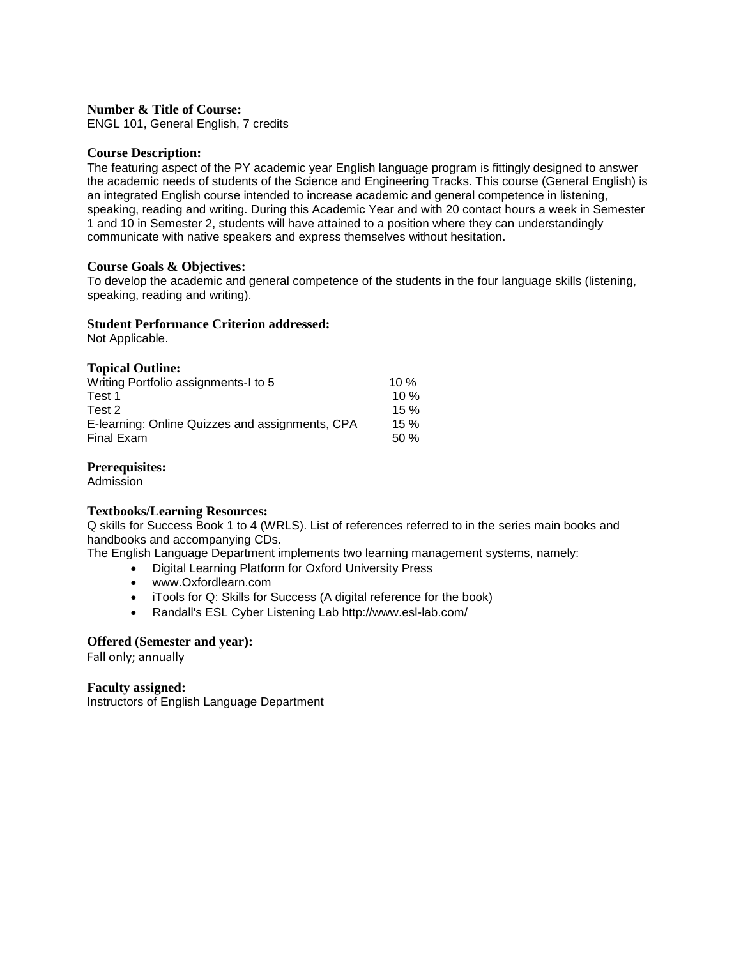ENGL 101, General English, 7 credits

#### **Course Description:**

The featuring aspect of the PY academic year English language program is fittingly designed to answer the academic needs of students of the Science and Engineering Tracks. This course (General English) is an integrated English course intended to increase academic and general competence in listening, speaking, reading and writing. During this Academic Year and with 20 contact hours a week in Semester 1 and 10 in Semester 2, students will have attained to a position where they can understandingly communicate with native speakers and express themselves without hesitation.

### **Course Goals & Objectives:**

To develop the academic and general competence of the students in the four language skills (listening, speaking, reading and writing).

### **Student Performance Criterion addressed:**

Not Applicable.

### **Topical Outline:**

| Writing Portfolio assignments-I to 5            | 10 $%$ |
|-------------------------------------------------|--------|
| Test 1                                          | 10%    |
| Test 2                                          | 15%    |
| E-learning: Online Quizzes and assignments, CPA | 15%    |
| Final Exam                                      | 50%    |

### **Prerequisites:**

Admission

#### **Textbooks/Learning Resources:**

Q skills for Success Book 1 to 4 (WRLS). List of references referred to in the series main books and handbooks and accompanying CDs.

The English Language Department implements two learning management systems, namely:

- Digital Learning Platform for Oxford University Press
- www.Oxfordlearn.com
- iTools for Q: Skills for Success (A digital reference for the book)
- Randall's ESL Cyber Listening Lab http://www.esl-lab.com/

#### **Offered (Semester and year):**

Fall only; annually

#### **Faculty assigned:**

Instructors of English Language Department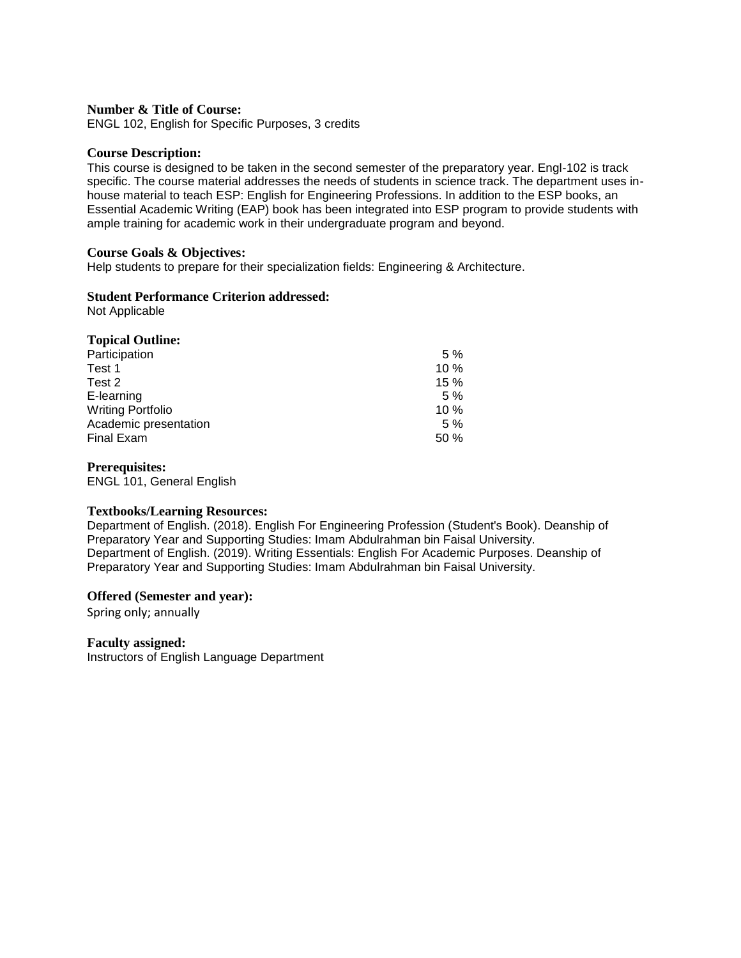ENGL 102, English for Specific Purposes, 3 credits

#### **Course Description:**

This course is designed to be taken in the second semester of the preparatory year. Engl-102 is track specific. The course material addresses the needs of students in science track. The department uses inhouse material to teach ESP: English for Engineering Professions. In addition to the ESP books, an Essential Academic Writing (EAP) book has been integrated into ESP program to provide students with ample training for academic work in their undergraduate program and beyond.

### **Course Goals & Objectives:**

Help students to prepare for their specialization fields: Engineering & Architecture.

### **Student Performance Criterion addressed:**

Not Applicable

| <b>Topical Outline:</b>  |     |
|--------------------------|-----|
| Participation            | 5%  |
| Test 1                   | 10% |
| Test 2                   | 15% |
| E-learning               | 5%  |
| <b>Writing Portfolio</b> | 10% |
| Academic presentation    | 5%  |
| <b>Final Exam</b>        | 50% |

#### **Prerequisites:**

ENGL 101, General English

#### **Textbooks/Learning Resources:**

Department of English. (2018). English For Engineering Profession (Student's Book). Deanship of Preparatory Year and Supporting Studies: Imam Abdulrahman bin Faisal University. Department of English. (2019). Writing Essentials: English For Academic Purposes. Deanship of Preparatory Year and Supporting Studies: Imam Abdulrahman bin Faisal University.

#### **Offered (Semester and year):**

Spring only; annually

#### **Faculty assigned:**

Instructors of English Language Department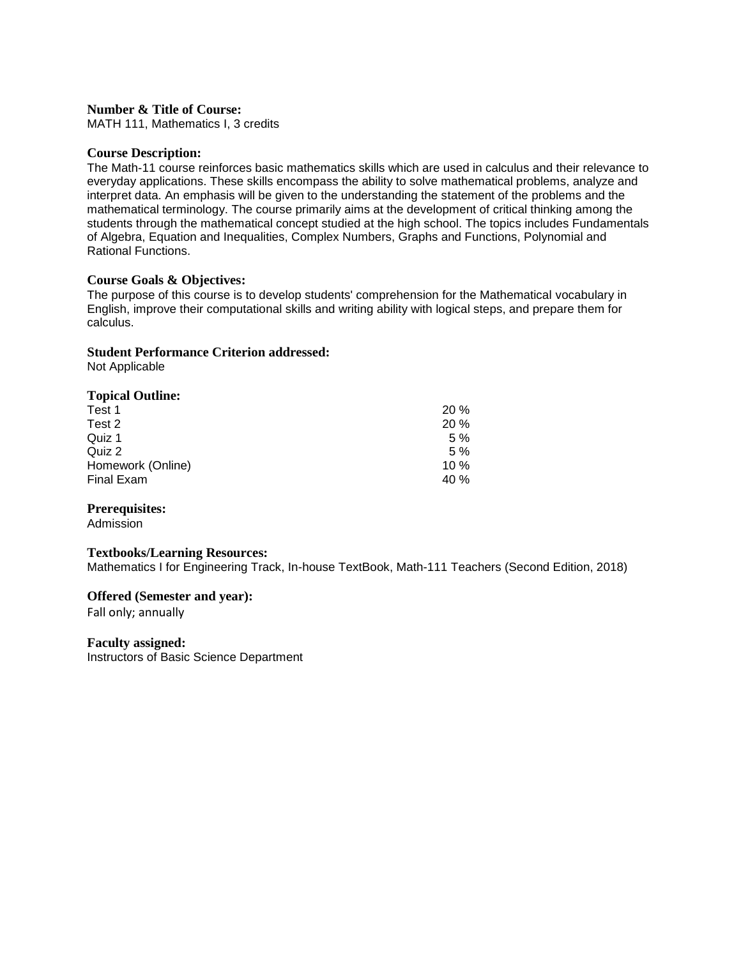MATH 111, Mathematics I, 3 credits

### **Course Description:**

The Math-11 course reinforces basic mathematics skills which are used in calculus and their relevance to everyday applications. These skills encompass the ability to solve mathematical problems, analyze and interpret data. An emphasis will be given to the understanding the statement of the problems and the mathematical terminology. The course primarily aims at the development of critical thinking among the students through the mathematical concept studied at the high school. The topics includes Fundamentals of Algebra, Equation and Inequalities, Complex Numbers, Graphs and Functions, Polynomial and Rational Functions.

### **Course Goals & Objectives:**

The purpose of this course is to develop students' comprehension for the Mathematical vocabulary in English, improve their computational skills and writing ability with logical steps, and prepare them for calculus.

### **Student Performance Criterion addressed:**

Not Applicable

### **Topical Outline:**

| 20%  |
|------|
| 20%  |
| 5%   |
| 5%   |
| 10%  |
| 40 % |
|      |

#### **Prerequisites:**

Admission

#### **Textbooks/Learning Resources:**

Mathematics I for Engineering Track, In-house TextBook, Math-111 Teachers (Second Edition, 2018)

#### **Offered (Semester and year):**

Fall only; annually

#### **Faculty assigned:**

Instructors of Basic Science Department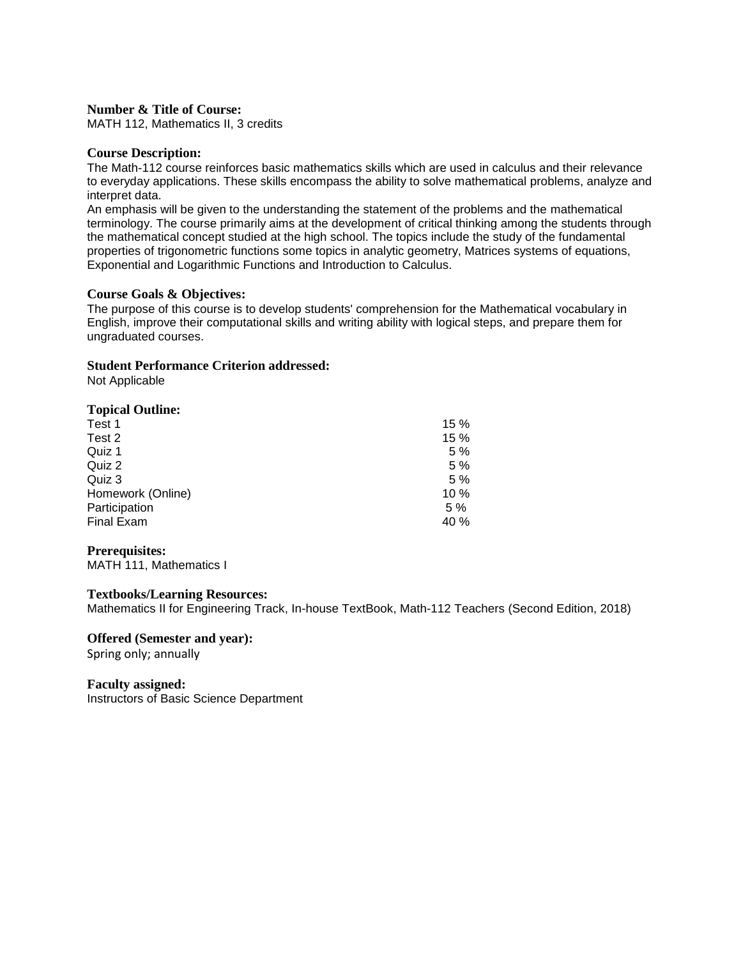MATH 112, Mathematics II, 3 credits

### **Course Description:**

The Math-112 course reinforces basic mathematics skills which are used in calculus and their relevance to everyday applications. These skills encompass the ability to solve mathematical problems, analyze and interpret data.

An emphasis will be given to the understanding the statement of the problems and the mathematical terminology. The course primarily aims at the development of critical thinking among the students through the mathematical concept studied at the high school. The topics include the study of the fundamental properties of trigonometric functions some topics in analytic geometry, Matrices systems of equations, Exponential and Logarithmic Functions and Introduction to Calculus.

### **Course Goals & Objectives:**

The purpose of this course is to develop students' comprehension for the Mathematical vocabulary in English, improve their computational skills and writing ability with logical steps, and prepare them for ungraduated courses.

### **Student Performance Criterion addressed:**

Not Applicable

### **Topical Outline:**

| Test 1            | 15%  |
|-------------------|------|
| Test 2            | 15%  |
| Quiz 1            | 5 %  |
| Quiz 2            | 5 %  |
| Quiz 3            | 5 %  |
| Homework (Online) | 10%  |
| Participation     | 5%   |
| Final Exam        | 40 % |
|                   |      |

#### **Prerequisites:**

MATH 111, Mathematics I

### **Textbooks/Learning Resources:**

Mathematics II for Engineering Track, In-house TextBook, Math-112 Teachers (Second Edition, 2018)

#### **Offered (Semester and year):**  Spring only; annually

**Faculty assigned:**

Instructors of Basic Science Department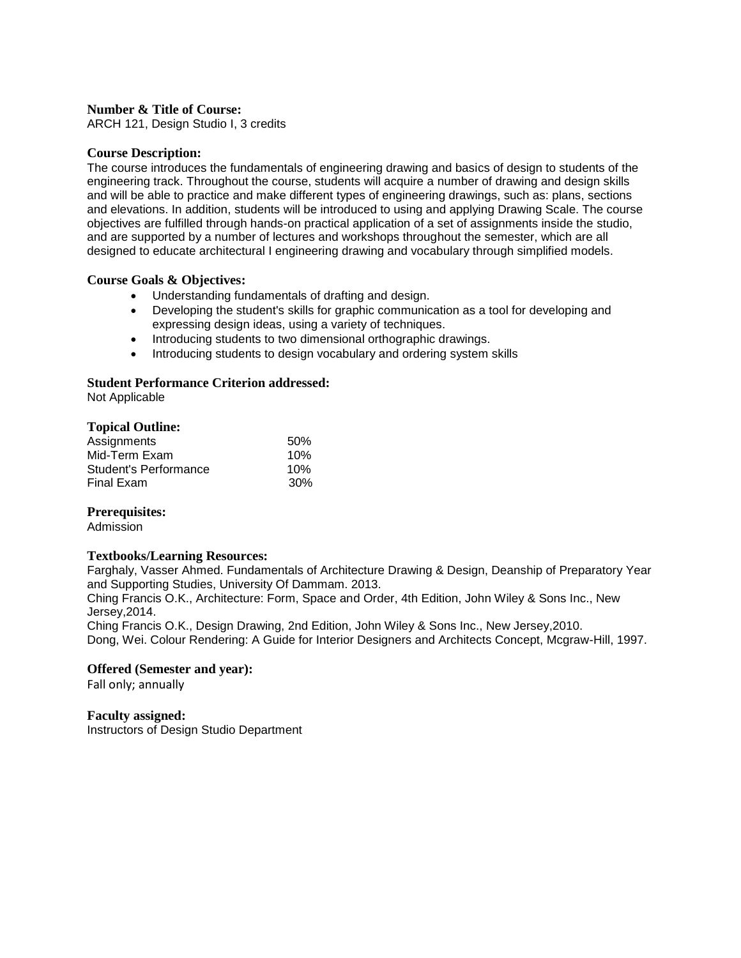ARCH 121, Design Studio I, 3 credits

### **Course Description:**

The course introduces the fundamentals of engineering drawing and basics of design to students of the engineering track. Throughout the course, students will acquire a number of drawing and design skills and will be able to practice and make different types of engineering drawings, such as: plans, sections and elevations. In addition, students will be introduced to using and applying Drawing Scale. The course objectives are fulfilled through hands-on practical application of a set of assignments inside the studio, and are supported by a number of lectures and workshops throughout the semester, which are all designed to educate architectural I engineering drawing and vocabulary through simplified models.

#### **Course Goals & Objectives:**

- Understanding fundamentals of drafting and design.
- Developing the student's skills for graphic communication as a tool for developing and expressing design ideas, using a variety of techniques.
- Introducing students to two dimensional orthographic drawings.
- Introducing students to design vocabulary and ordering system skills

### **Student Performance Criterion addressed:**

Not Applicable

### **Topical Outline:**

| Assignments           | 50% |
|-----------------------|-----|
| Mid-Term Exam         | 10% |
| Student's Performance | 10% |
| Final Exam            | 30% |

#### **Prerequisites:**

Admission

#### **Textbooks/Learning Resources:**

Farghaly, Vasser Ahmed. Fundamentals of Architecture Drawing & Design, Deanship of Preparatory Year and Supporting Studies, University Of Dammam. 2013.

Ching Francis O.K., Architecture: Form, Space and Order, 4th Edition, John Wiley & Sons Inc., New Jersey,2014.

Ching Francis O.K., Design Drawing, 2nd Edition, John Wiley & Sons Inc., New Jersey,2010. Dong, Wei. Colour Rendering: A Guide for Interior Designers and Architects Concept, Mcgraw-Hill, 1997.

#### **Offered (Semester and year):**

Fall only; annually

### **Faculty assigned:**

Instructors of Design Studio Department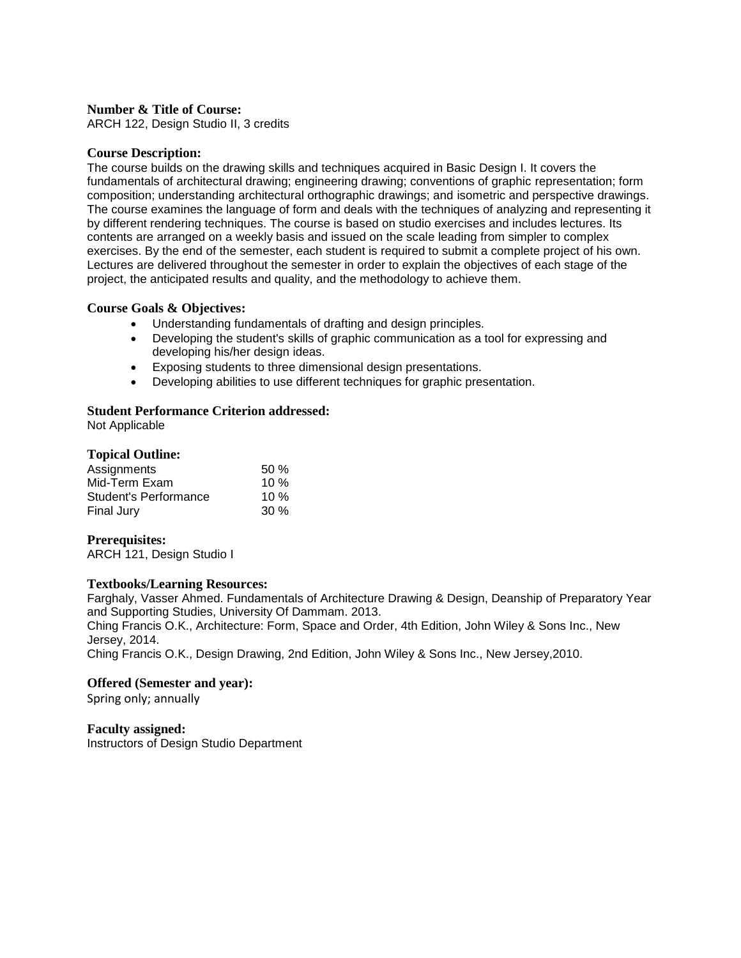ARCH 122, Design Studio II, 3 credits

### **Course Description:**

The course builds on the drawing skills and techniques acquired in Basic Design I. It covers the fundamentals of architectural drawing; engineering drawing; conventions of graphic representation; form composition; understanding architectural orthographic drawings; and isometric and perspective drawings. The course examines the language of form and deals with the techniques of analyzing and representing it by different rendering techniques. The course is based on studio exercises and includes lectures. Its contents are arranged on a weekly basis and issued on the scale leading from simpler to complex exercises. By the end of the semester, each student is required to submit a complete project of his own. Lectures are delivered throughout the semester in order to explain the objectives of each stage of the project, the anticipated results and quality, and the methodology to achieve them.

### **Course Goals & Objectives:**

- Understanding fundamentals of drafting and design principles.
- Developing the student's skills of graphic communication as a tool for expressing and developing his/her design ideas.
- Exposing students to three dimensional design presentations.
- Developing abilities to use different techniques for graphic presentation.

### **Student Performance Criterion addressed:**

Not Applicable

### **Topical Outline:**

| Assignments           | 50%    |
|-----------------------|--------|
| Mid-Term Exam         | 10%    |
| Student's Performance | 10%    |
| Final Jury            | $30\%$ |

#### **Prerequisites:**

ARCH 121, Design Studio I

#### **Textbooks/Learning Resources:**

Farghaly, Vasser Ahmed. Fundamentals of Architecture Drawing & Design, Deanship of Preparatory Year and Supporting Studies, University Of Dammam. 2013.

Ching Francis O.K., Architecture: Form, Space and Order, 4th Edition, John Wiley & Sons Inc., New Jersey, 2014.

Ching Francis O.K., Design Drawing, 2nd Edition, John Wiley & Sons Inc., New Jersey,2010.

#### **Offered (Semester and year):**

Spring only; annually

**Faculty assigned:** Instructors of Design Studio Department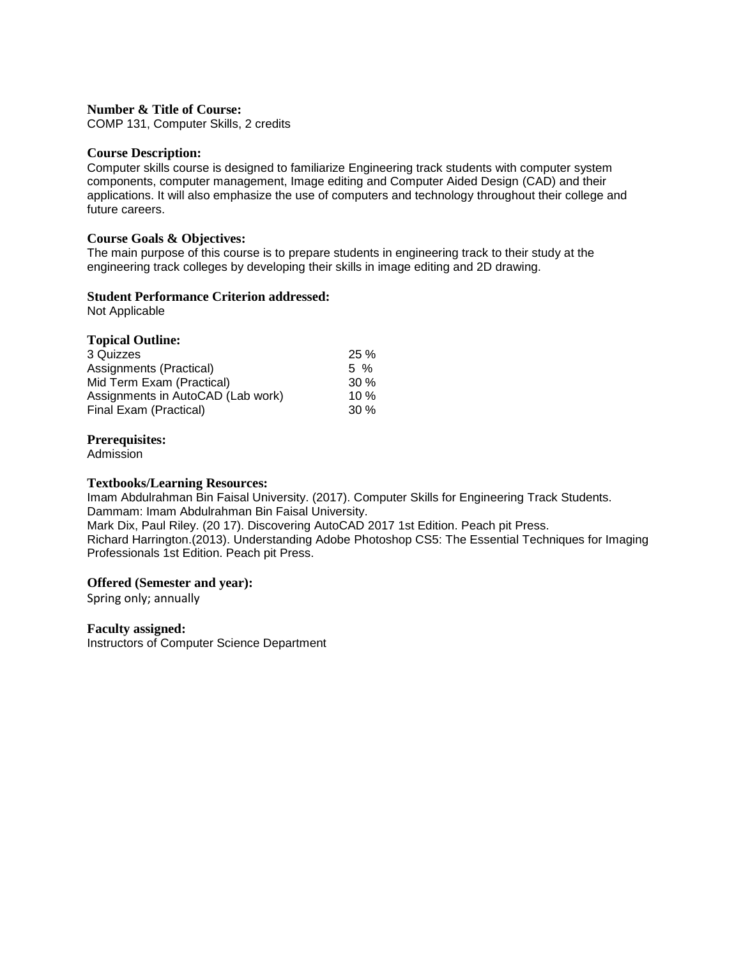COMP 131, Computer Skills, 2 credits

#### **Course Description:**

Computer skills course is designed to familiarize Engineering track students with computer system components, computer management, Image editing and Computer Aided Design (CAD) and their applications. It will also emphasize the use of computers and technology throughout their college and future careers.

### **Course Goals & Objectives:**

The main purpose of this course is to prepare students in engineering track to their study at the engineering track colleges by developing their skills in image editing and 2D drawing.

### **Student Performance Criterion addressed:**

Not Applicable

| <b>Topical Outline:</b>           |        |
|-----------------------------------|--------|
| 3 Quizzes                         | 25%    |
| Assignments (Practical)           | 5 %    |
| Mid Term Exam (Practical)         | $30\%$ |
| Assignments in AutoCAD (Lab work) | 10%    |
| Final Exam (Practical)            | 30%    |

### **Prerequisites:**

Admission

#### **Textbooks/Learning Resources:**

Imam Abdulrahman Bin Faisal University. (2017). Computer Skills for Engineering Track Students. Dammam: Imam Abdulrahman Bin Faisal University. Mark Dix, Paul Riley. (20 17). Discovering AutoCAD 2017 1st Edition. Peach pit Press. Richard Harrington.(2013). Understanding Adobe Photoshop CS5: The Essential Techniques for Imaging Professionals 1st Edition. Peach pit Press.

#### **Offered (Semester and year):**

Spring only; annually

#### **Faculty assigned:**

Instructors of Computer Science Department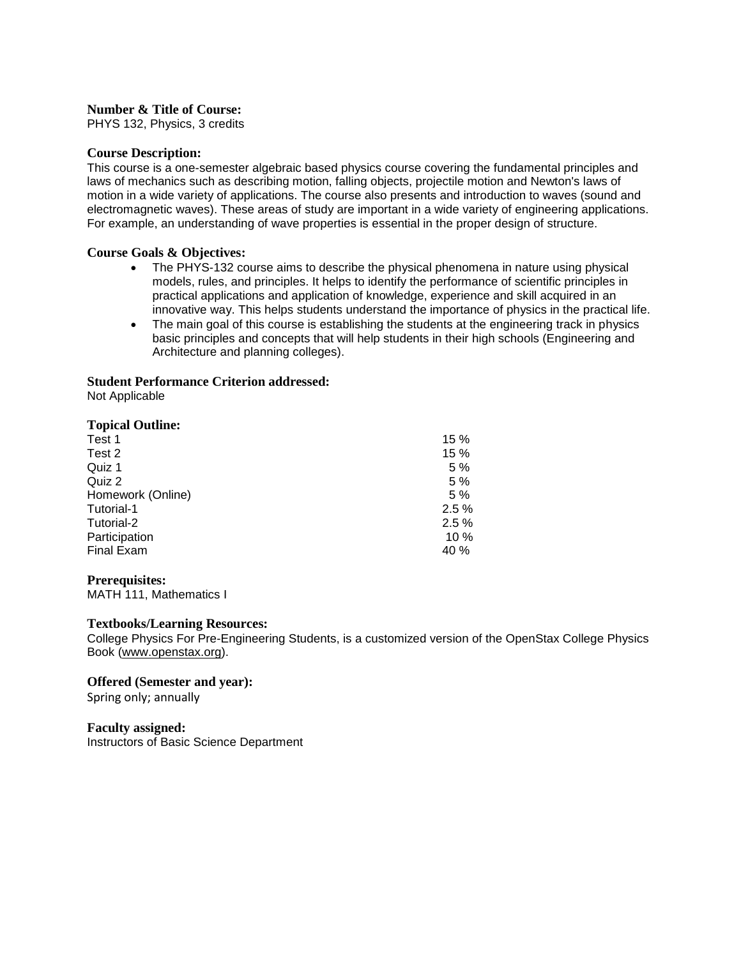PHYS 132, Physics, 3 credits

#### **Course Description:**

This course is a one-semester algebraic based physics course covering the fundamental principles and laws of mechanics such as describing motion, falling objects, projectile motion and Newton's laws of motion in a wide variety of applications. The course also presents and introduction to waves (sound and electromagnetic waves). These areas of study are important in a wide variety of engineering applications. For example, an understanding of wave properties is essential in the proper design of structure.

### **Course Goals & Objectives:**

- The PHYS-132 course aims to describe the physical phenomena in nature using physical models, rules, and principles. It helps to identify the performance of scientific principles in practical applications and application of knowledge, experience and skill acquired in an innovative way. This helps students understand the importance of physics in the practical life.
- The main goal of this course is establishing the students at the engineering track in physics basic principles and concepts that will help students in their high schools (Engineering and Architecture and planning colleges).

### **Student Performance Criterion addressed:**

Not Applicable

### **Topical Outline:**

| Test 1            | 15%  |
|-------------------|------|
| Test 2            | 15%  |
| Quiz 1            | 5%   |
| Quiz 2            | 5%   |
| Homework (Online) | 5%   |
| Tutorial-1        | 2.5% |
| Tutorial-2        | 2.5% |
| Participation     | 10%  |
| <b>Final Exam</b> | 40 % |
|                   |      |

#### **Prerequisites:**

MATH 111, Mathematics I

#### **Textbooks/Learning Resources:**

College Physics For Pre-Engineering Students, is a customized version of the OpenStax College Physics Book [\(www.openstax.org\)](http://www.openstax.org/).

**Offered (Semester and year):** 

Spring only; annually

**Faculty assigned:** Instructors of Basic Science Department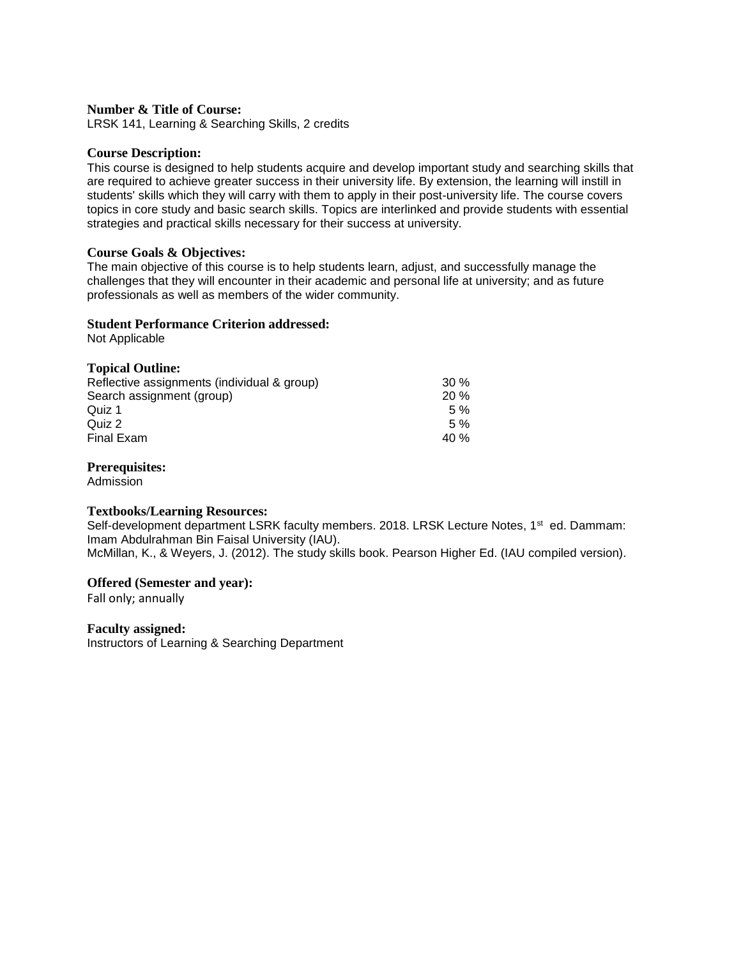LRSK 141, Learning & Searching Skills, 2 credits

### **Course Description:**

This course is designed to help students acquire and develop important study and searching skills that are required to achieve greater success in their university life. By extension, the learning will instill in students' skills which they will carry with them to apply in their post-university life. The course covers topics in core study and basic search skills. Topics are interlinked and provide students with essential strategies and practical skills necessary for their success at university.

### **Course Goals & Objectives:**

The main objective of this course is to help students learn, adjust, and successfully manage the challenges that they will encounter in their academic and personal life at university; and as future professionals as well as members of the wider community.

### **Student Performance Criterion addressed:**

Not Applicable

### **Topical Outline:**

| Reflective assignments (individual & group) | 30%  |
|---------------------------------------------|------|
| Search assignment (group)                   | 20%  |
| Quiz 1                                      | 5%   |
| Quiz 2                                      | 5%   |
| Final Exam                                  | 40 % |

### **Prerequisites:**

Admission

#### **Textbooks/Learning Resources:**

Self-development department LSRK faculty members. 2018. LRSK Lecture Notes, 1<sup>st</sup> ed. Dammam: Imam Abdulrahman Bin Faisal University (IAU).

McMillan, K., & Weyers, J. (2012). The study skills book. Pearson Higher Ed. (IAU compiled version).

#### **Offered (Semester and year):**

Fall only; annually

**Faculty assigned:**  Instructors of Learning & Searching Department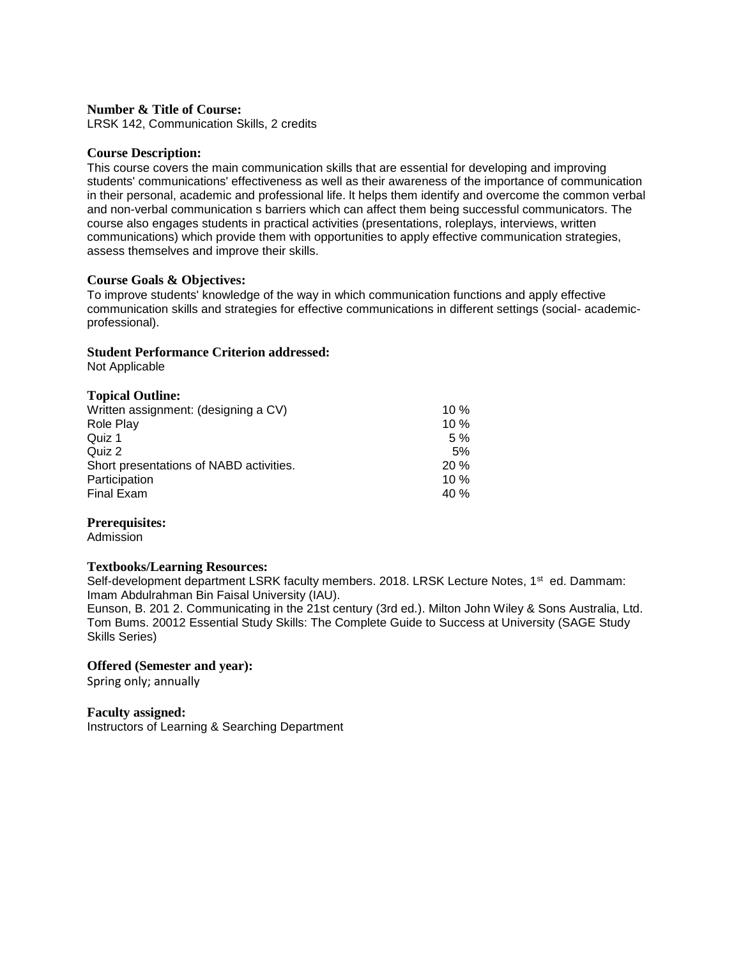LRSK 142, Communication Skills, 2 credits

#### **Course Description:**

This course covers the main communication skills that are essential for developing and improving students' communications' effectiveness as well as their awareness of the importance of communication in their personal, academic and professional life. lt helps them identify and overcome the common verbal and non-verbal communication s barriers which can affect them being successful communicators. The course also engages students in practical activities (presentations, roleplays, interviews, written communications) which provide them with opportunities to apply effective communication strategies, assess themselves and improve their skills.

#### **Course Goals & Objectives:**

To improve students' knowledge of the way in which communication functions and apply effective communication skills and strategies for effective communications in different settings (social- academicprofessional).

### **Student Performance Criterion addressed:**

Not Applicable

### **Topical Outline:**

| Written assignment: (designing a CV)    | 10 $%$ |
|-----------------------------------------|--------|
| Role Play                               | $10\%$ |
| Quiz 1                                  | 5%     |
| Quiz 2                                  | 5%     |
| Short presentations of NABD activities. | 20%    |
| Participation                           | $10\%$ |
| <b>Final Exam</b>                       | 40 %   |

#### **Prerequisites:**

Admission

#### **Textbooks/Learning Resources:**

Self-development department LSRK faculty members. 2018. LRSK Lecture Notes, 1<sup>st</sup> ed. Dammam: Imam Abdulrahman Bin Faisal University (IAU).

Eunson, B. 201 2. Communicating in the 21st century (3rd ed.). Milton John Wiley & Sons Australia, Ltd. Tom Bums. 20012 Essential Study Skills: The Complete Guide to Success at University (SAGE Study Skills Series)

### **Offered (Semester and year):**

Spring only; annually

**Faculty assigned:** Instructors of Learning & Searching Department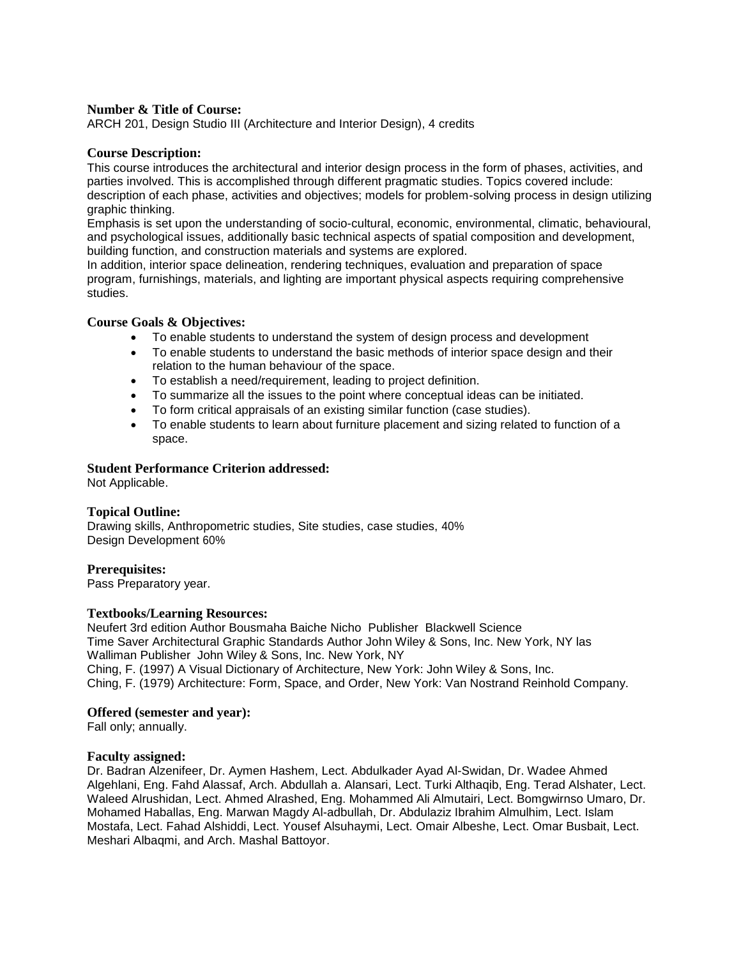ARCH 201, Design Studio III (Architecture and Interior Design), 4 credits

#### **Course Description:**

This course introduces the architectural and interior design process in the form of phases, activities, and parties involved. This is accomplished through different pragmatic studies. Topics covered include: description of each phase, activities and objectives; models for problem-solving process in design utilizing graphic thinking.

Emphasis is set upon the understanding of socio-cultural, economic, environmental, climatic, behavioural, and psychological issues, additionally basic technical aspects of spatial composition and development, building function, and construction materials and systems are explored.

In addition, interior space delineation, rendering techniques, evaluation and preparation of space program, furnishings, materials, and lighting are important physical aspects requiring comprehensive studies.

#### **Course Goals & Objectives:**

- To enable students to understand the system of design process and development
- To enable students to understand the basic methods of interior space design and their relation to the human behaviour of the space.
- To establish a need/requirement, leading to project definition.
- To summarize all the issues to the point where conceptual ideas can be initiated.
- To form critical appraisals of an existing similar function (case studies).
- To enable students to learn about furniture placement and sizing related to function of a space.

### **Student Performance Criterion addressed:**

Not Applicable.

### **Topical Outline:**

Drawing skills, Anthropometric studies, Site studies, case studies, 40% Design Development 60%

**Prerequisites:**  Pass Preparatory year.

#### **Textbooks/Learning Resources:**

Neufert 3rd edition Author Bousmaha Baiche Nicho Publisher Blackwell Science Time Saver Architectural Graphic Standards Author John Wiley & Sons, Inc. New York, NY las Walliman Publisher John Wiley & Sons, Inc. New York, NY Ching, F. (1997) A Visual Dictionary of Architecture, New York: John Wiley & Sons, Inc. Ching, F. (1979) Architecture: Form, Space, and Order, New York: Van Nostrand Reinhold Company.

#### **Offered (semester and year):**

Fall only; annually.

#### **Faculty assigned:**

Dr. Badran Alzenifeer, Dr. Aymen Hashem, Lect. Abdulkader Ayad Al-Swidan, Dr. Wadee Ahmed Algehlani, Eng. Fahd Alassaf, Arch. Abdullah a. Alansari, Lect. Turki Althaqib, Eng. Terad Alshater, Lect. Waleed Alrushidan, Lect. Ahmed Alrashed, Eng. Mohammed Ali Almutairi, Lect. Bomgwirnso Umaro, Dr. Mohamed Haballas, Eng. Marwan Magdy Al-adbullah, Dr. Abdulaziz Ibrahim Almulhim, Lect. Islam Mostafa, Lect. Fahad Alshiddi, Lect. Yousef Alsuhaymi, Lect. Omair Albeshe, Lect. Omar Busbait, Lect. Meshari Albaqmi, and Arch. Mashal Battoyor.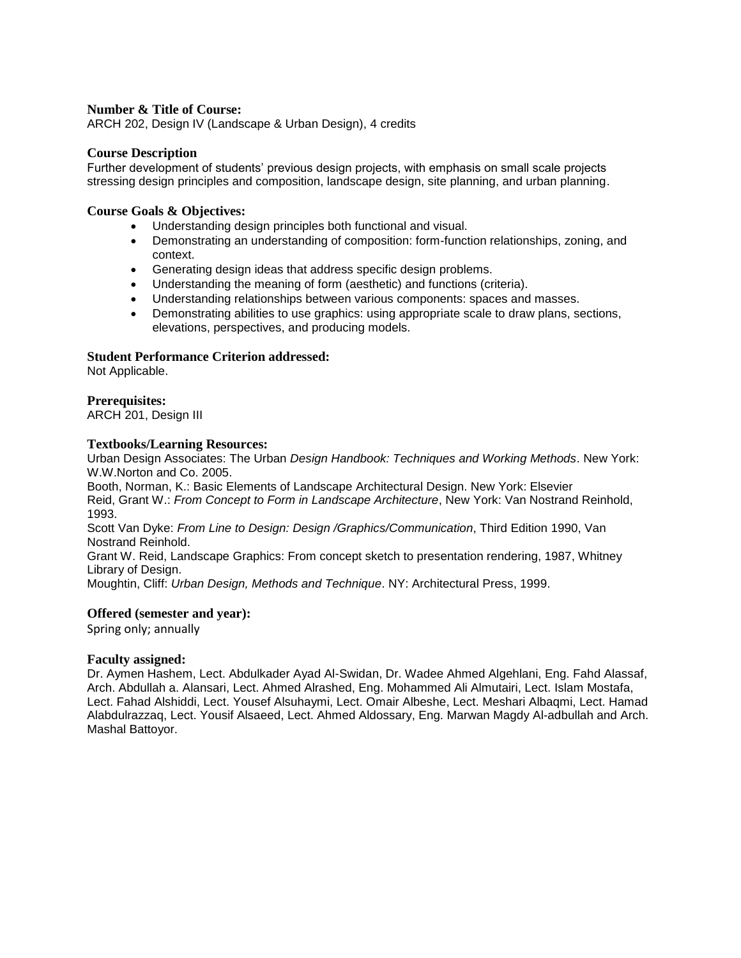ARCH 202, Design IV (Landscape & Urban Design), 4 credits

#### **Course Description**

Further development of students' previous design projects, with emphasis on small scale projects stressing design principles and composition, landscape design, site planning, and urban planning.

#### **Course Goals & Objectives:**

- Understanding design principles both functional and visual.
- Demonstrating an understanding of composition: form-function relationships, zoning, and context.
- Generating design ideas that address specific design problems.
- Understanding the meaning of form (aesthetic) and functions (criteria).
- Understanding relationships between various components: spaces and masses.
- Demonstrating abilities to use graphics: using appropriate scale to draw plans, sections, elevations, perspectives, and producing models.

### **Student Performance Criterion addressed:**

Not Applicable.

### **Prerequisites:**

ARCH 201, Design III

#### **Textbooks/Learning Resources:**

Urban Design Associates: The Urban *Design Handbook: Techniques and Working Methods*. New York: W.W.Norton and Co. 2005.

Booth, Norman, K.: Basic Elements of Landscape Architectural Design. New York: Elsevier Reid, Grant W.: *From Concept to Form in Landscape Architecture*, New York: Van Nostrand Reinhold, 1993.

Scott Van Dyke: *From Line to Design: Design /Graphics/Communication*, Third Edition 1990, Van Nostrand Reinhold.

Grant W. Reid, Landscape Graphics: From concept sketch to presentation rendering, 1987, Whitney Library of Design.

Moughtin, Cliff: *Urban Design, Methods and Technique*. NY: Architectural Press, 1999.

#### **Offered (semester and year):**

Spring only; annually

#### **Faculty assigned:**

Dr. Aymen Hashem, Lect. Abdulkader Ayad Al-Swidan, Dr. Wadee Ahmed Algehlani, Eng. Fahd Alassaf, Arch. Abdullah a. Alansari, Lect. Ahmed Alrashed, Eng. Mohammed Ali Almutairi, Lect. Islam Mostafa, Lect. Fahad Alshiddi, Lect. Yousef Alsuhaymi, Lect. Omair Albeshe, Lect. Meshari Albaqmi, Lect. Hamad Alabdulrazzaq, Lect. Yousif Alsaeed, Lect. Ahmed Aldossary, Eng. Marwan Magdy Al-adbullah and Arch. Mashal Battoyor.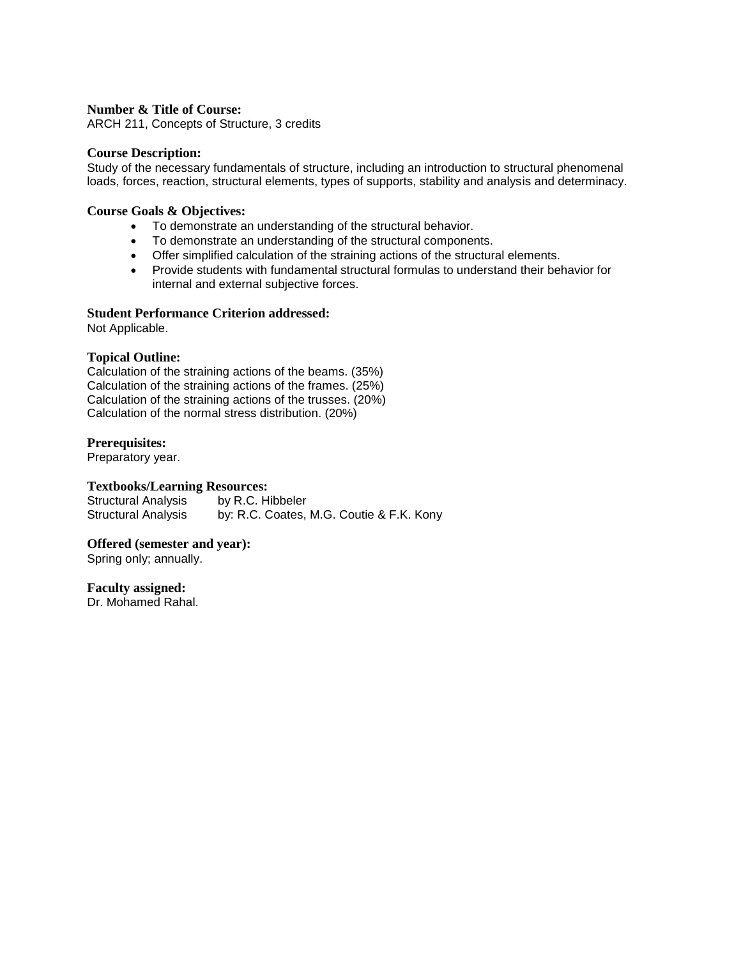ARCH 211, Concepts of Structure, 3 credits

### **Course Description:**

Study of the necessary fundamentals of structure, including an introduction to structural phenomenal loads, forces, reaction, structural elements, types of supports, stability and analysis and determinacy.

### **Course Goals & Objectives:**

- To demonstrate an understanding of the structural behavior.
- To demonstrate an understanding of the structural components.
- Offer simplified calculation of the straining actions of the structural elements.
- Provide students with fundamental structural formulas to understand their behavior for internal and external subjective forces.

#### **Student Performance Criterion addressed:**

Not Applicable.

### **Topical Outline:**

Calculation of the straining actions of the beams. (35%) Calculation of the straining actions of the frames. (25%) Calculation of the straining actions of the trusses. (20%) Calculation of the normal stress distribution. (20%)

### **Prerequisites:**

Preparatory year.

### **Textbooks/Learning Resources:**

Structural Analysis by R.C. Hibbeler Structural Analysis by: R.C. Coates, M.G. Coutie & F.K. Kony

#### **Offered (semester and year):**

Spring only; annually.

#### **Faculty assigned:**

Dr. Mohamed Rahal.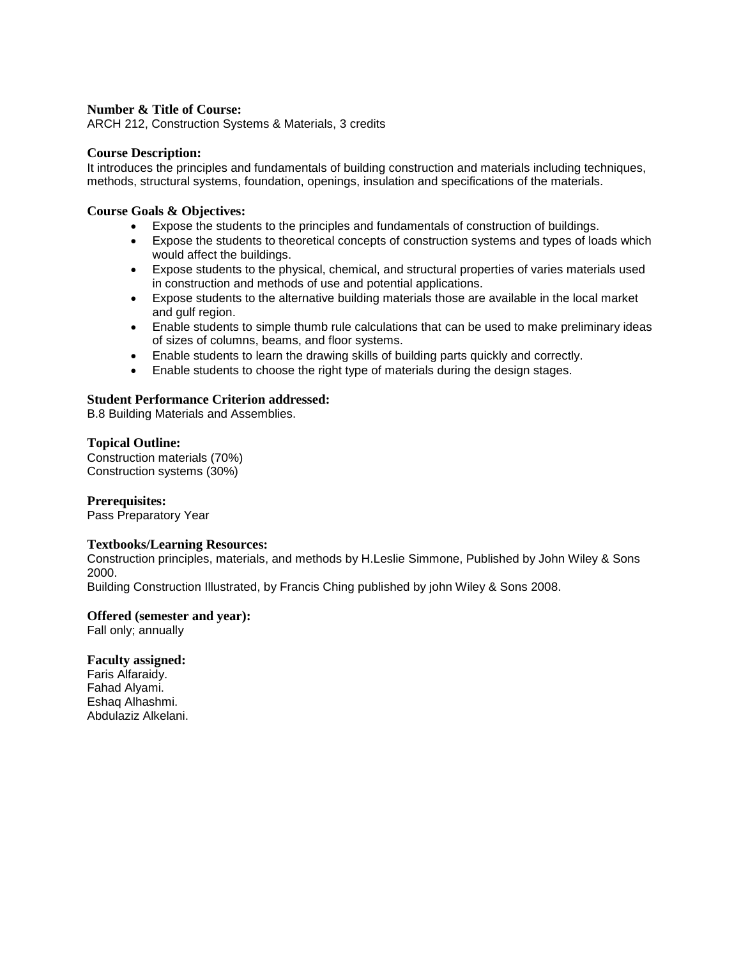ARCH 212, Construction Systems & Materials, 3 credits

#### **Course Description:**

It introduces the principles and fundamentals of building construction and materials including techniques, methods, structural systems, foundation, openings, insulation and specifications of the materials.

### **Course Goals & Objectives:**

- Expose the students to the principles and fundamentals of construction of buildings.
- Expose the students to theoretical concepts of construction systems and types of loads which would affect the buildings.
- Expose students to the physical, chemical, and structural properties of varies materials used in construction and methods of use and potential applications.
- Expose students to the alternative building materials those are available in the local market and gulf region.
- Enable students to simple thumb rule calculations that can be used to make preliminary ideas of sizes of columns, beams, and floor systems.
- Enable students to learn the drawing skills of building parts quickly and correctly.
- Enable students to choose the right type of materials during the design stages.

### **Student Performance Criterion addressed:**

B.8 Building Materials and Assemblies.

#### **Topical Outline:**

Construction materials (70%) Construction systems (30%)

#### **Prerequisites:**

Pass Preparatory Year

#### **Textbooks/Learning Resources:**

Construction principles, materials, and methods by H.Leslie Simmone, Published by John Wiley & Sons 2000.

Building Construction Illustrated, by Francis Ching published by john Wiley & Sons 2008.

#### **Offered (semester and year):**

Fall only; annually

#### **Faculty assigned:**

Faris Alfaraidy. Fahad Alyami. Eshaq Alhashmi. Abdulaziz Alkelani.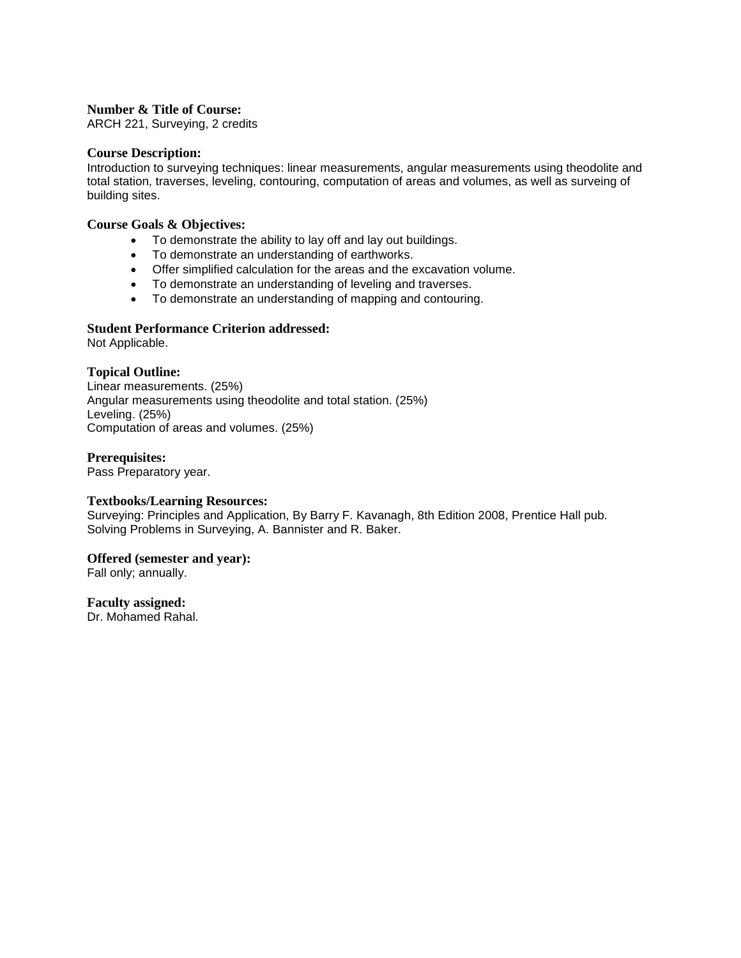ARCH 221, Surveying, 2 credits

#### **Course Description:**

Introduction to surveying techniques: linear measurements, angular measurements using theodolite and total station, traverses, leveling, contouring, computation of areas and volumes, as well as surveing of building sites.

### **Course Goals & Objectives:**

- To demonstrate the ability to lay off and lay out buildings.
- To demonstrate an understanding of earthworks.
- Offer simplified calculation for the areas and the excavation volume.
- To demonstrate an understanding of leveling and traverses.
- To demonstrate an understanding of mapping and contouring.

### **Student Performance Criterion addressed:**

Not Applicable.

### **Topical Outline:**

Linear measurements. (25%) Angular measurements using theodolite and total station. (25%) Leveling. (25%) Computation of areas and volumes. (25%)

### **Prerequisites:**

Pass Preparatory year.

### **Textbooks/Learning Resources:**

Surveying: Principles and Application, By Barry F. Kavanagh, 8th Edition 2008, Prentice Hall pub. Solving Problems in Surveying, A. Bannister and R. Baker.

#### **Offered (semester and year):**

Fall only; annually.

#### **Faculty assigned:**

Dr. Mohamed Rahal.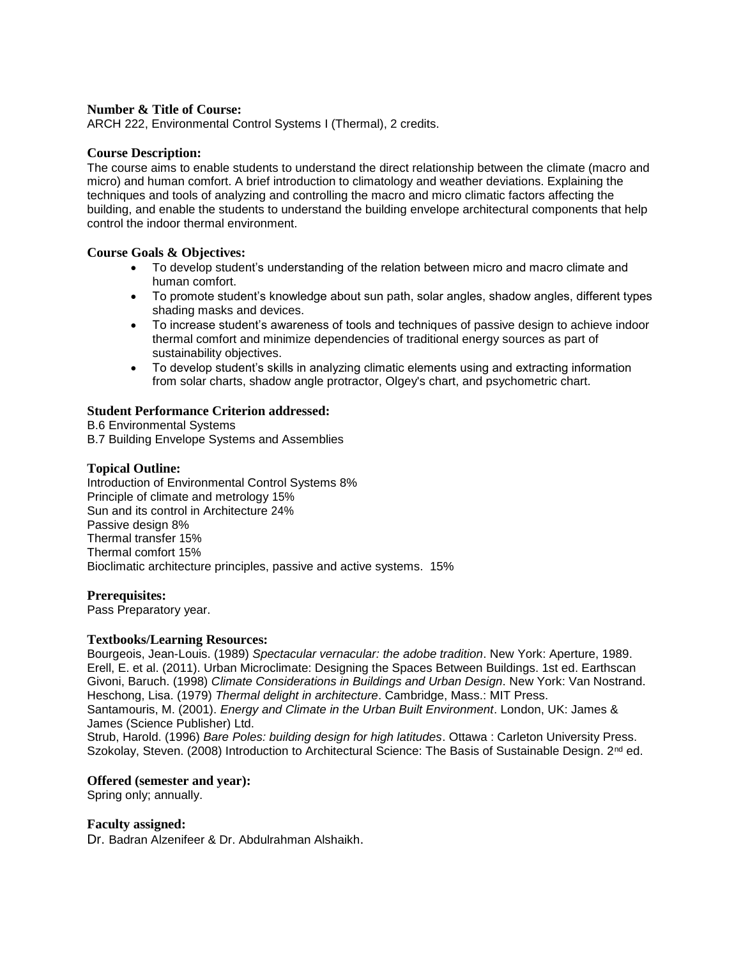ARCH 222, Environmental Control Systems I (Thermal), 2 credits.

#### **Course Description:**

The course aims to enable students to understand the direct relationship between the climate (macro and micro) and human comfort. A brief introduction to climatology and weather deviations. Explaining the techniques and tools of analyzing and controlling the macro and micro climatic factors affecting the building, and enable the students to understand the building envelope architectural components that help control the indoor thermal environment.

### **Course Goals & Objectives:**

- To develop student's understanding of the relation between micro and macro climate and human comfort.
- To promote student's knowledge about sun path, solar angles, shadow angles, different types shading masks and devices.
- To increase student's awareness of tools and techniques of passive design to achieve indoor thermal comfort and minimize dependencies of traditional energy sources as part of sustainability objectives.
- To develop student's skills in analyzing climatic elements using and extracting information from solar charts, shadow angle protractor, Olgey's chart, and psychometric chart.

### **Student Performance Criterion addressed:**

B.6 Environmental Systems B.7 Building Envelope Systems and Assemblies

### **Topical Outline:**

Introduction of Environmental Control Systems 8% Principle of climate and metrology 15% Sun and its control in Architecture 24% Passive design 8% Thermal transfer 15% Thermal comfort 15% Bioclimatic architecture principles, passive and active systems. 15%

#### **Prerequisites:**

Pass Preparatory year.

#### **Textbooks/Learning Resources:**

Bourgeois, Jean-Louis. (1989) *Spectacular vernacular: the adobe tradition*. New York: Aperture, 1989. Erell, E. et al. (2011). Urban Microclimate: Designing the Spaces Between Buildings. 1st ed. Earthscan Givoni, Baruch. (1998) *Climate Considerations in Buildings and Urban Design*. New York: Van Nostrand. Heschong, Lisa. (1979) *Thermal delight in architecture*. Cambridge, Mass.: MIT Press. Santamouris, M. (2001). *Energy and Climate in the Urban Built Environment*. London, UK: James &

James (Science Publisher) Ltd.

Strub, Harold. (1996) *Bare Poles: building design for high latitudes*. Ottawa : Carleton University Press. Szokolay, Steven. (2008) Introduction to Architectural Science: The Basis of Sustainable Design. 2<sup>nd</sup> ed.

#### **Offered (semester and year):**

Spring only; annually.

#### **Faculty assigned:**

Dr. Badran Alzenifeer & Dr. Abdulrahman Alshaikh.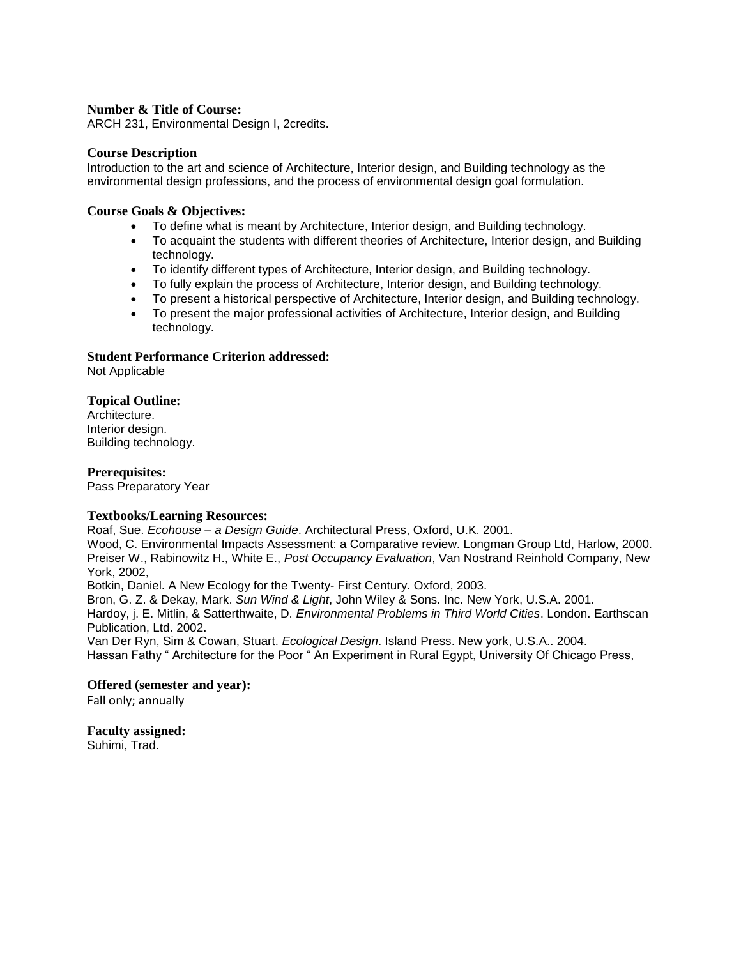ARCH 231, Environmental Design I, 2credits.

### **Course Description**

Introduction to the art and science of Architecture, Interior design, and Building technology as the environmental design professions, and the process of environmental design goal formulation.

### **Course Goals & Objectives:**

- To define what is meant by Architecture, Interior design, and Building technology.
- To acquaint the students with different theories of Architecture, Interior design, and Building technology.
- To identify different types of Architecture, Interior design, and Building technology.
- To fully explain the process of Architecture, Interior design, and Building technology.
- To present a historical perspective of Architecture, Interior design, and Building technology.
- To present the major professional activities of Architecture, Interior design, and Building technology.

### **Student Performance Criterion addressed:**

Not Applicable

### **Topical Outline:**

Architecture. Interior design. Building technology.

### **Prerequisites:**

Pass Preparatory Year

#### **Textbooks/Learning Resources:**

Roaf, Sue. *Ecohouse – a Design Guide*. Architectural Press, Oxford, U.K. 2001.

Wood, C. Environmental Impacts Assessment: a Comparative review. Longman Group Ltd, Harlow, 2000. Preiser W., Rabinowitz H., White E., *Post Occupancy Evaluation*, Van Nostrand Reinhold Company, New York, 2002,

Botkin, Daniel. A New Ecology for the Twenty- First Century. Oxford, 2003.

Bron, G. Z. & Dekay, Mark. *Sun Wind & Light*, John Wiley & Sons. Inc. New York, U.S.A. 2001. Hardoy, j. E. Mitlin, & Satterthwaite, D. *Environmental Problems in Third World Cities*. London. Earthscan Publication, Ltd. 2002.

Van Der Ryn, Sim & Cowan, Stuart. *Ecological Design*. Island Press. New york, U.S.A.. 2004. Hassan Fathy " Architecture for the Poor " An Experiment in Rural Egypt, University Of Chicago Press,

### **Offered (semester and year):**

Fall only; annually

**Faculty assigned:**  Suhimi, Trad.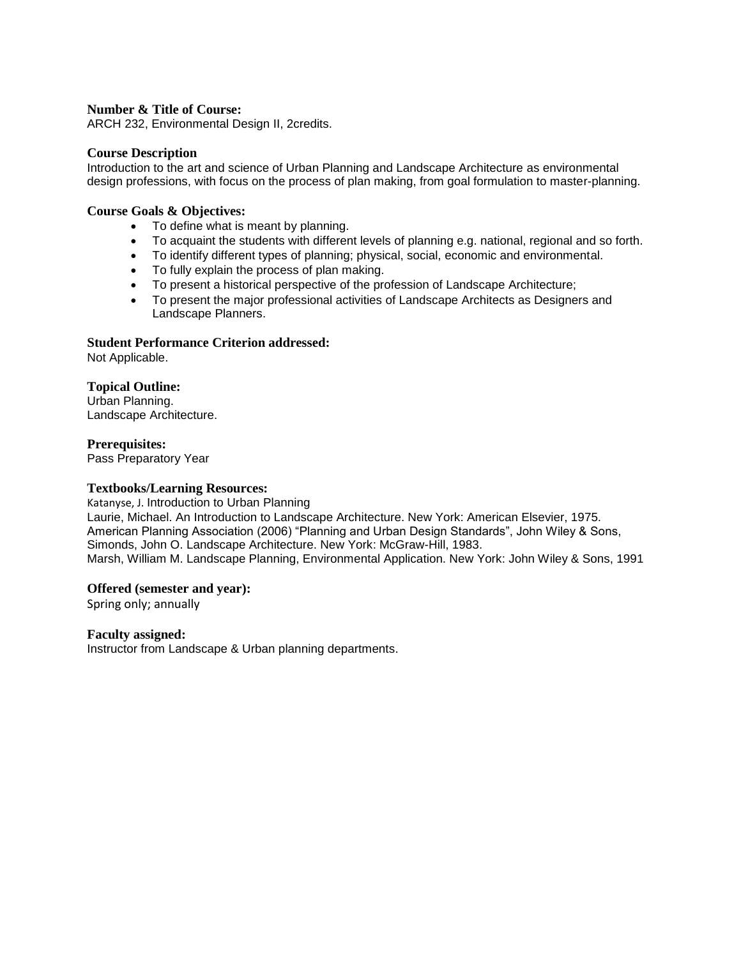ARCH 232, Environmental Design II, 2credits.

#### **Course Description**

Introduction to the art and science of Urban Planning and Landscape Architecture as environmental design professions, with focus on the process of plan making, from goal formulation to master-planning.

### **Course Goals & Objectives:**

- To define what is meant by planning.
- To acquaint the students with different levels of planning e.g. national, regional and so forth.
- To identify different types of planning; physical, social, economic and environmental.
- To fully explain the process of plan making.
- To present a historical perspective of the profession of Landscape Architecture;
- To present the major professional activities of Landscape Architects as Designers and Landscape Planners.

#### **Student Performance Criterion addressed:**

Not Applicable.

### **Topical Outline:**

Urban Planning. Landscape Architecture.

### **Prerequisites:**

Pass Preparatory Year

#### **Textbooks/Learning Resources:**

Katanyse, J. Introduction to Urban Planning Laurie, Michael. An Introduction to Landscape Architecture. New York: American Elsevier, 1975. American Planning Association (2006) "Planning and Urban Design Standards", John Wiley & Sons, Simonds, John O. Landscape Architecture. New York: McGraw-Hill, 1983. Marsh, William M. Landscape Planning, Environmental Application. New York: John Wiley & Sons, 1991

#### **Offered (semester and year):**

Spring only; annually

#### **Faculty assigned:**

Instructor from Landscape & Urban planning departments.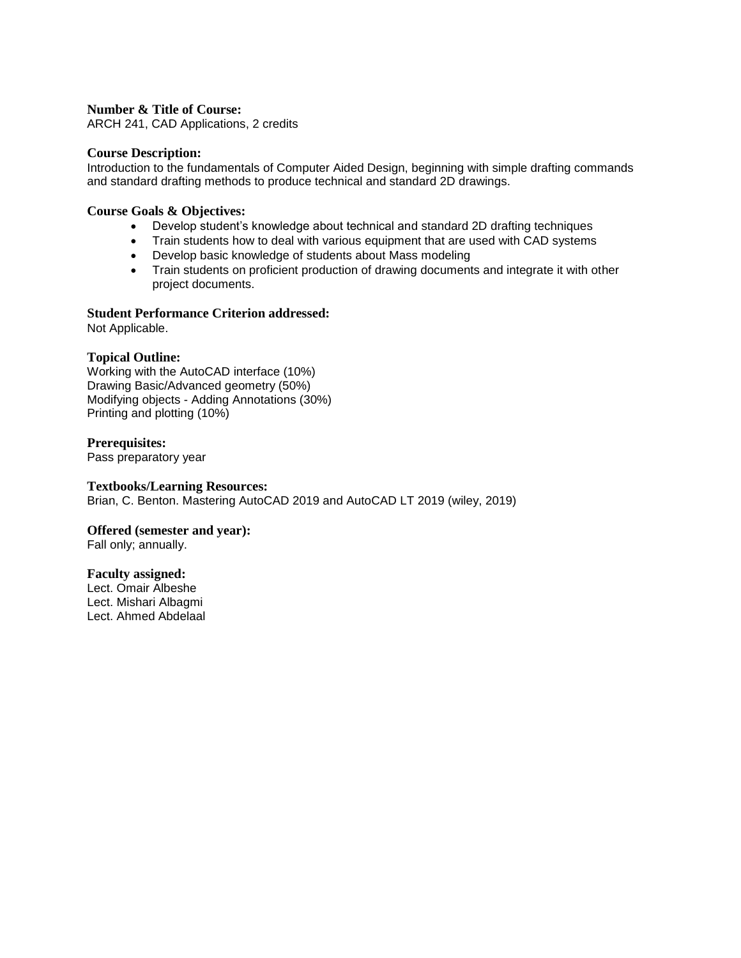ARCH 241, CAD Applications, 2 credits

#### **Course Description:**

Introduction to the fundamentals of Computer Aided Design, beginning with simple drafting commands and standard drafting methods to produce technical and standard 2D drawings.

#### **Course Goals & Objectives:**

- Develop student's knowledge about technical and standard 2D drafting techniques
- Train students how to deal with various equipment that are used with CAD systems
- Develop basic knowledge of students about Mass modeling
- Train students on proficient production of drawing documents and integrate it with other project documents.

### **Student Performance Criterion addressed:**

Not Applicable.

### **Topical Outline:**

Working with the AutoCAD interface (10%) Drawing Basic/Advanced geometry (50%) Modifying objects - Adding Annotations (30%) Printing and plotting (10%)

### **Prerequisites:**

Pass preparatory year

#### **Textbooks/Learning Resources:**

Brian, C. Benton. Mastering AutoCAD 2019 and AutoCAD LT 2019 (wiley, 2019)

#### **Offered (semester and year):**

Fall only; annually.

#### **Faculty assigned:**

Lect. Omair Albeshe Lect. Mishari Albagmi Lect. Ahmed Abdelaal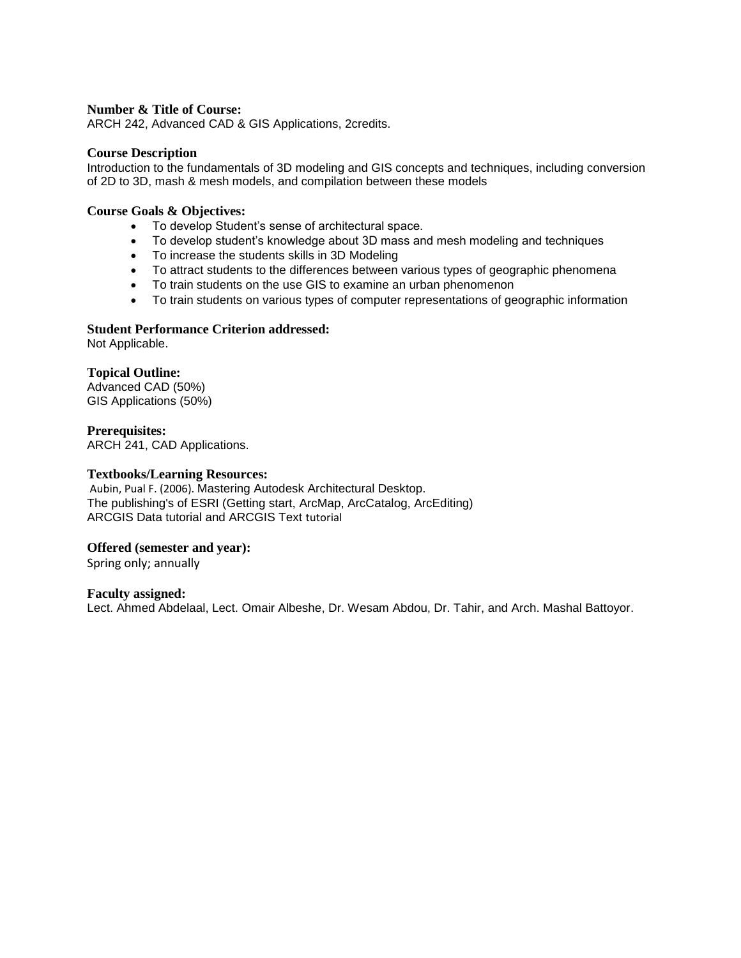ARCH 242, Advanced CAD & GIS Applications, 2credits.

#### **Course Description**

Introduction to the fundamentals of 3D modeling and GIS concepts and techniques, including conversion of 2D to 3D, mash & mesh models, and compilation between these models

#### **Course Goals & Objectives:**

- To develop Student's sense of architectural space.
- To develop student's knowledge about 3D mass and mesh modeling and techniques
- To increase the students skills in 3D Modeling
- To attract students to the differences between various types of geographic phenomena
- To train students on the use GIS to examine an urban phenomenon
- To train students on various types of computer representations of geographic information

### **Student Performance Criterion addressed:**

Not Applicable.

### **Topical Outline:**

Advanced CAD (50%) GIS Applications (50%)

### **Prerequisites:**

ARCH 241, CAD Applications.

### **Textbooks/Learning Resources:**

Aubin, Pual F. (2006). Mastering Autodesk Architectural Desktop. The publishing's of ESRI (Getting start, ArcMap, ArcCatalog, ArcEditing) ARCGIS Data tutorial and ARCGIS Text tutorial

### **Offered (semester and year):**

Spring only; annually

#### **Faculty assigned:**

Lect. Ahmed Abdelaal, Lect. Omair Albeshe, Dr. Wesam Abdou, Dr. Tahir, and Arch. Mashal Battoyor.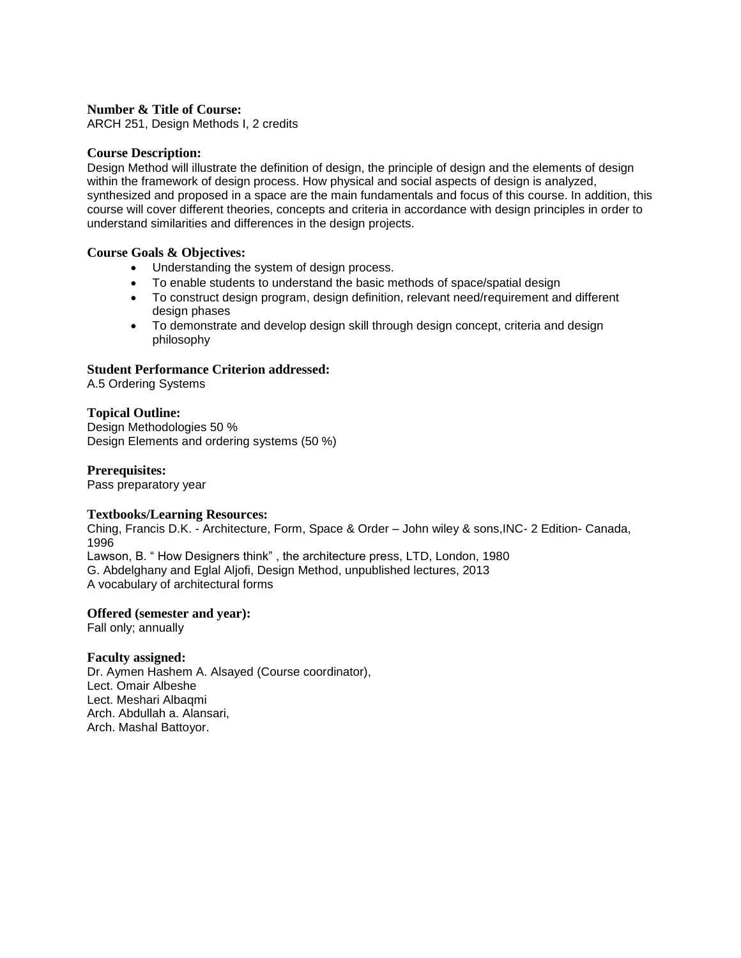ARCH 251, Design Methods I, 2 credits

#### **Course Description:**

Design Method will illustrate the definition of design, the principle of design and the elements of design within the framework of design process. How physical and social aspects of design is analyzed, synthesized and proposed in a space are the main fundamentals and focus of this course. In addition, this course will cover different theories, concepts and criteria in accordance with design principles in order to understand similarities and differences in the design projects.

### **Course Goals & Objectives:**

- Understanding the system of design process.
- To enable students to understand the basic methods of space/spatial design
- To construct design program, design definition, relevant need/requirement and different design phases
- To demonstrate and develop design skill through design concept, criteria and design philosophy

### **Student Performance Criterion addressed:**

A.5 Ordering Systems

### **Topical Outline:**

Design Methodologies 50 % Design Elements and ordering systems (50 %)

#### **Prerequisites:**

Pass preparatory year

#### **Textbooks/Learning Resources:**

Ching, Francis D.K. - Architecture, Form, Space & Order – John wiley & sons,INC- 2 Edition- Canada, 1996

Lawson, B. " How Designers think" , the architecture press, LTD, London, 1980 G. Abdelghany and Eglal Aljofi, Design Method, unpublished lectures, 2013 A vocabulary of architectural forms

#### **Offered (semester and year):**

Fall only; annually

#### **Faculty assigned:**

Dr. Aymen Hashem A. Alsayed (Course coordinator), Lect. Omair Albeshe Lect. Meshari Albaqmi Arch. Abdullah a. Alansari, Arch. Mashal Battoyor.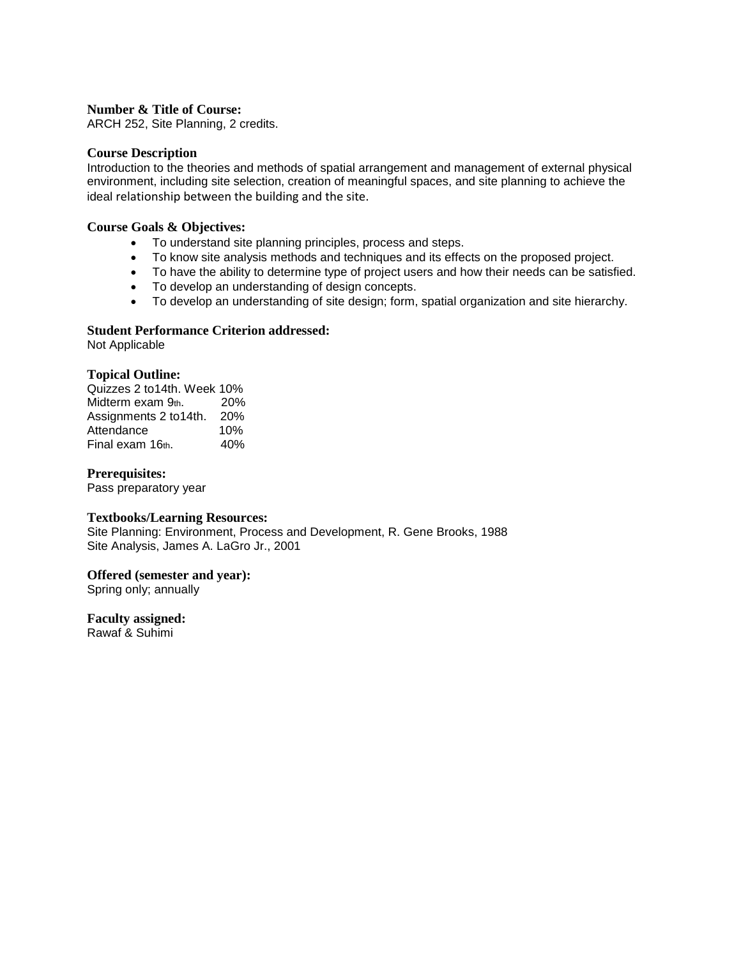ARCH 252, Site Planning, 2 credits.

#### **Course Description**

Introduction to the theories and methods of spatial arrangement and management of external physical environment, including site selection, creation of meaningful spaces, and site planning to achieve the ideal relationship between the building and the site.

### **Course Goals & Objectives:**

- To understand site planning principles, process and steps.
- To know site analysis methods and techniques and its effects on the proposed project.
- To have the ability to determine type of project users and how their needs can be satisfied.
- To develop an understanding of design concepts.
- To develop an understanding of site design; form, spatial organization and site hierarchy.

### **Student Performance Criterion addressed:**

Not Applicable

### **Topical Outline:**

Quizzes 2 to14th. Week 10% Midterm exam 9th. 20% Assignments 2 to14th. 20% Attendance 10%  $Final exam 16<sub>th.</sub>$  40%

### **Prerequisites:**

Pass preparatory year

#### **Textbooks/Learning Resources:**

Site Planning: Environment, Process and Development, R. Gene Brooks, 1988 Site Analysis, James A. LaGro Jr., 2001

### **Offered (semester and year):**

Spring only; annually

# **Faculty assigned:**

Rawaf & Suhimi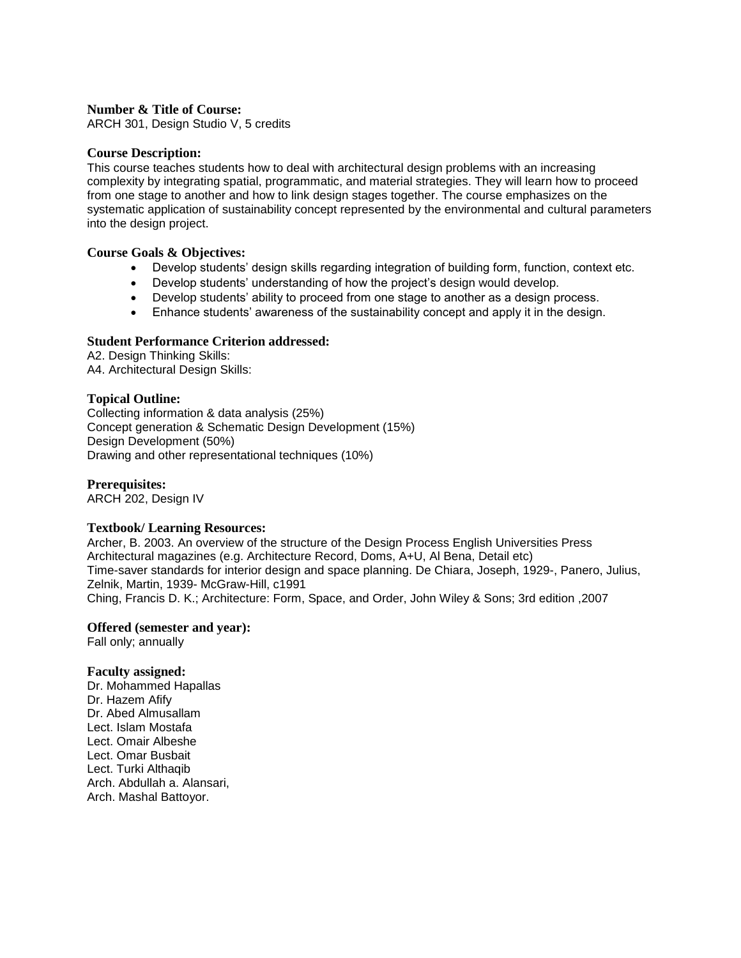ARCH 301, Design Studio V, 5 credits

#### **Course Description:**

This course teaches students how to deal with architectural design problems with an increasing complexity by integrating spatial, programmatic, and material strategies. They will learn how to proceed from one stage to another and how to link design stages together. The course emphasizes on the systematic application of sustainability concept represented by the environmental and cultural parameters into the design project.

#### **Course Goals & Objectives:**

- Develop students' design skills regarding integration of building form, function, context etc.
- Develop students' understanding of how the project's design would develop.
- Develop students' ability to proceed from one stage to another as a design process.
- Enhance students' awareness of the sustainability concept and apply it in the design.

#### **Student Performance Criterion addressed:**

A2. Design Thinking Skills: A4. Architectural Design Skills:

#### **Topical Outline:**

Collecting information & data analysis (25%) Concept generation & Schematic Design Development (15%) Design Development (50%) Drawing and other representational techniques (10%)

**Prerequisites:** 

ARCH 202, Design IV

#### **Textbook/ Learning Resources:**

Archer, B. 2003. An overview of the structure of the Design Process English Universities Press Architectural magazines (e.g. Architecture Record, Doms, A+U, Al Bena, Detail etc) Time-saver standards for interior design and space planning. De Chiara, Joseph, 1929-, Panero, Julius, Zelnik, Martin, 1939- McGraw-Hill, c1991 Ching, Francis D. K.; Architecture: Form, Space, and Order, John Wiley & Sons; 3rd edition ,2007

**Offered (semester and year):**

Fall only; annually

#### **Faculty assigned:**

Dr. Mohammed Hapallas Dr. Hazem Afify Dr. Abed Almusallam Lect. Islam Mostafa Lect. Omair Albeshe Lect. Omar Busbait Lect. Turki Althaqib Arch. Abdullah a. Alansari, Arch. Mashal Battoyor.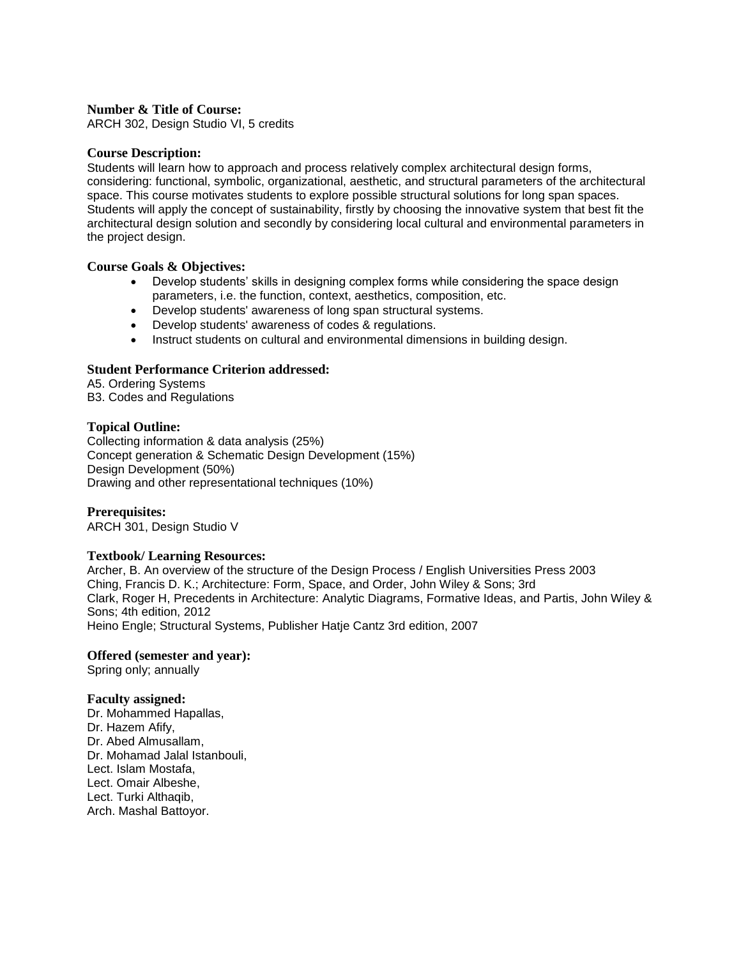ARCH 302, Design Studio VI, 5 credits

#### **Course Description:**

Students will learn how to approach and process relatively complex architectural design forms, considering: functional, symbolic, organizational, aesthetic, and structural parameters of the architectural space. This course motivates students to explore possible structural solutions for long span spaces. Students will apply the concept of sustainability, firstly by choosing the innovative system that best fit the architectural design solution and secondly by considering local cultural and environmental parameters in the project design.

### **Course Goals & Objectives:**

- Develop students' skills in designing complex forms while considering the space design parameters, i.e. the function, context, aesthetics, composition, etc.
- Develop students' awareness of long span structural systems.
- Develop students' awareness of codes & regulations.
- Instruct students on cultural and environmental dimensions in building design.

### **Student Performance Criterion addressed:**

A5. Ordering Systems B3. Codes and Regulations

#### **Topical Outline:**

Collecting information & data analysis (25%) Concept generation & Schematic Design Development (15%) Design Development (50%) Drawing and other representational techniques (10%)

### **Prerequisites:**

ARCH 301, Design Studio V

#### **Textbook/ Learning Resources:**

Archer, B. An overview of the structure of the Design Process / English Universities Press 2003 Ching, Francis D. K.; Architecture: Form, Space, and Order, John Wiley & Sons; 3rd Clark, Roger H, Precedents in Architecture: Analytic Diagrams, Formative Ideas, and Partis, John Wiley & Sons; 4th edition, 2012 Heino Engle; Structural Systems, Publisher Hatje Cantz 3rd edition, 2007

#### **Offered (semester and year):**

Spring only; annually

#### **Faculty assigned:**

Dr. Mohammed Hapallas, Dr. Hazem Afify, Dr. Abed Almusallam, Dr. Mohamad Jalal Istanbouli, Lect. Islam Mostafa, Lect. Omair Albeshe, Lect. Turki Althaqib, Arch. Mashal Battoyor.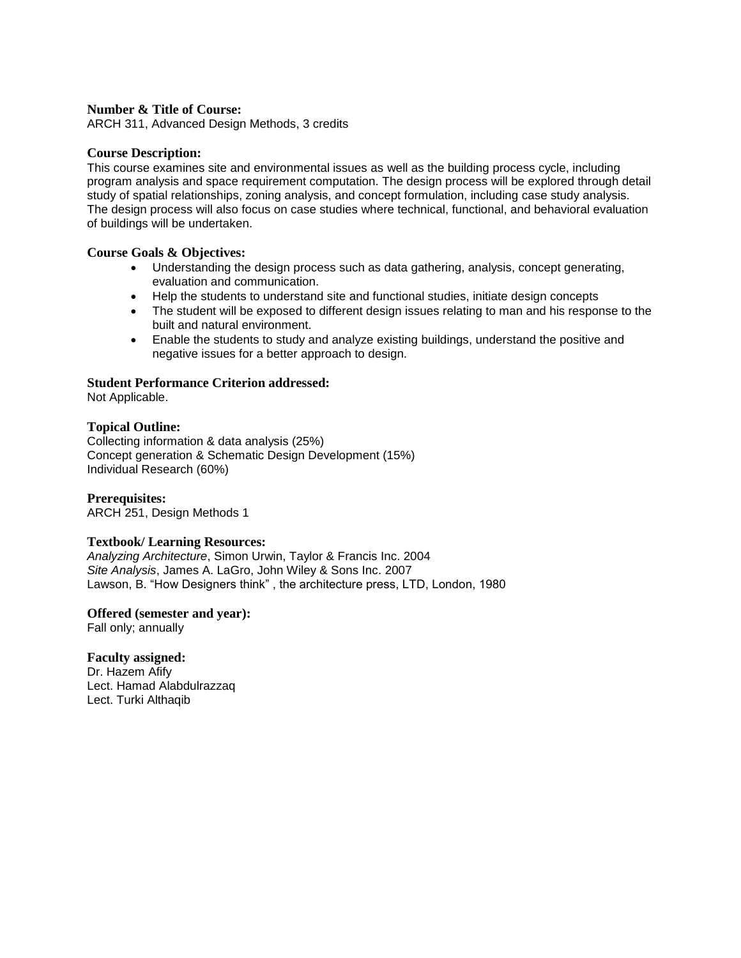ARCH 311, Advanced Design Methods, 3 credits

### **Course Description:**

This course examines site and environmental issues as well as the building process cycle, including program analysis and space requirement computation. The design process will be explored through detail study of spatial relationships, zoning analysis, and concept formulation, including case study analysis. The design process will also focus on case studies where technical, functional, and behavioral evaluation of buildings will be undertaken.

### **Course Goals & Objectives:**

- Understanding the design process such as data gathering, analysis, concept generating, evaluation and communication.
- Help the students to understand site and functional studies, initiate design concepts
- The student will be exposed to different design issues relating to man and his response to the built and natural environment.
- Enable the students to study and analyze existing buildings, understand the positive and negative issues for a better approach to design.

### **Student Performance Criterion addressed:**

Not Applicable.

### **Topical Outline:**

Collecting information & data analysis (25%) Concept generation & Schematic Design Development (15%) Individual Research (60%)

**Prerequisites:** 

ARCH 251, Design Methods 1

#### **Textbook/ Learning Resources:**

*Analyzing Architecture*, Simon Urwin, Taylor & Francis Inc. 2004 *Site Analysis*, James A. LaGro, John Wiley & Sons Inc. 2007 Lawson, B. "How Designers think" , the architecture press, LTD, London, 1980

#### **Offered (semester and year):**

Fall only; annually

### **Faculty assigned:**

Dr. Hazem Afify Lect. Hamad Alabdulrazzaq Lect. Turki Althaqib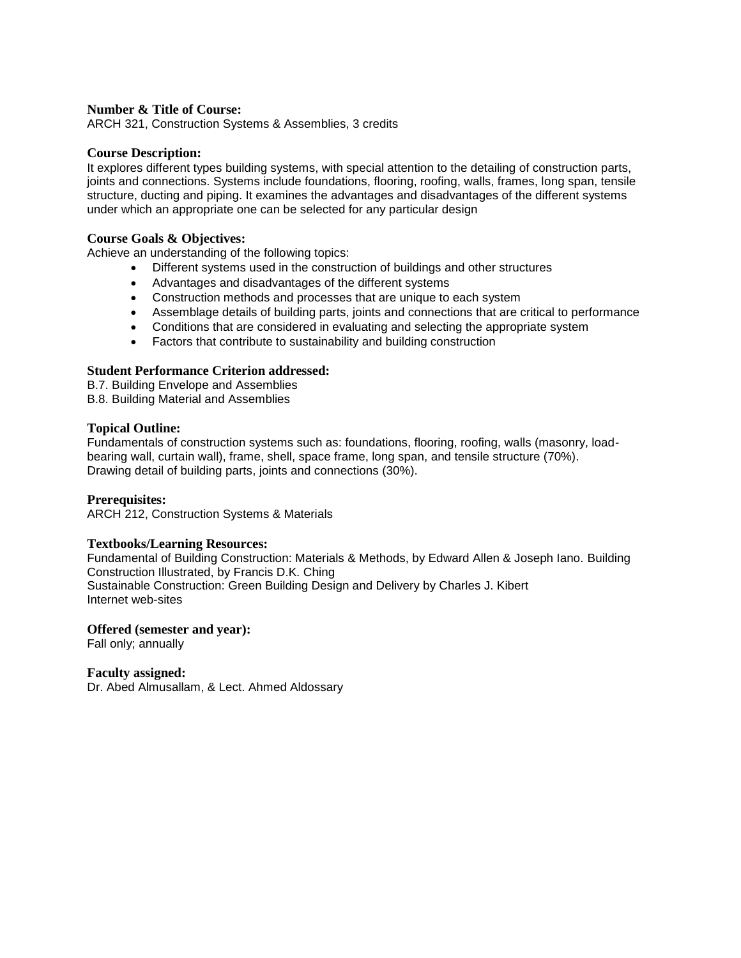ARCH 321, Construction Systems & Assemblies, 3 credits

#### **Course Description:**

It explores different types building systems, with special attention to the detailing of construction parts, joints and connections. Systems include foundations, flooring, roofing, walls, frames, long span, tensile structure, ducting and piping. It examines the advantages and disadvantages of the different systems under which an appropriate one can be selected for any particular design

#### **Course Goals & Objectives:**

Achieve an understanding of the following topics:

- Different systems used in the construction of buildings and other structures
- Advantages and disadvantages of the different systems
- Construction methods and processes that are unique to each system
- Assemblage details of building parts, joints and connections that are critical to performance
- Conditions that are considered in evaluating and selecting the appropriate system
- Factors that contribute to sustainability and building construction

### **Student Performance Criterion addressed:**

B.7. Building Envelope and Assemblies

B.8. Building Material and Assemblies

#### **Topical Outline:**

Fundamentals of construction systems such as: foundations, flooring, roofing, walls (masonry, loadbearing wall, curtain wall), frame, shell, space frame, long span, and tensile structure (70%). Drawing detail of building parts, joints and connections (30%).

#### **Prerequisites:**

ARCH 212, Construction Systems & Materials

#### **Textbooks/Learning Resources:**

Fundamental of Building Construction: Materials & Methods, by Edward Allen & Joseph Iano. Building Construction Illustrated, by Francis D.K. Ching Sustainable Construction: Green Building Design and Delivery by Charles J. Kibert Internet web-sites

#### **Offered (semester and year):**

Fall only; annually

#### **Faculty assigned:**

Dr. Abed Almusallam, & Lect. Ahmed Aldossary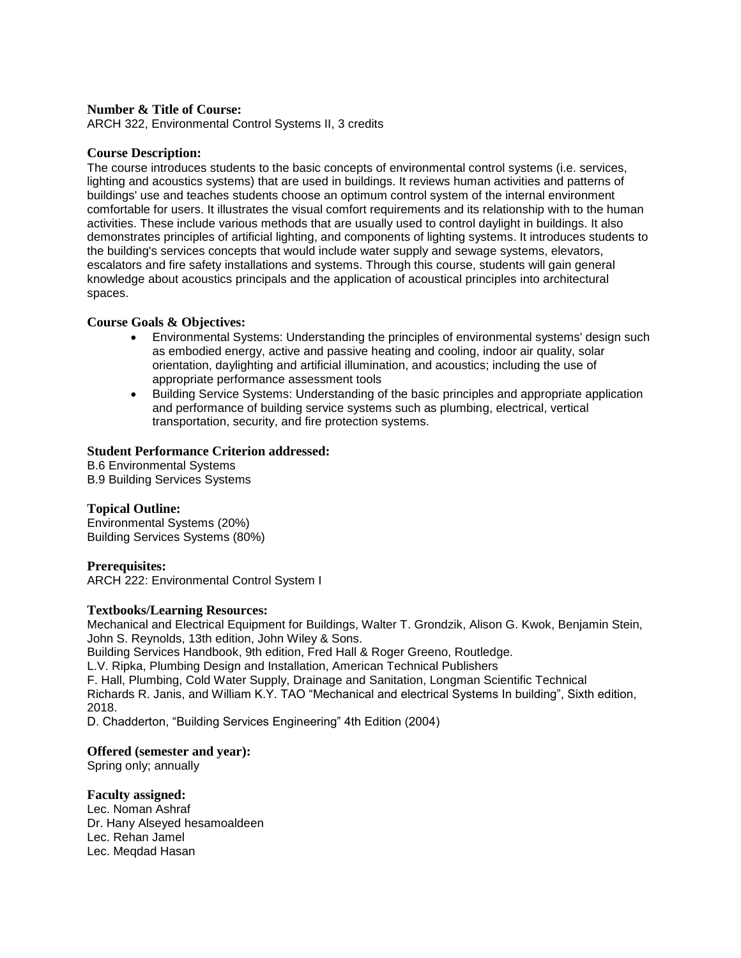ARCH 322, Environmental Control Systems II, 3 credits

### **Course Description:**

The course introduces students to the basic concepts of environmental control systems (i.e. services, lighting and acoustics systems) that are used in buildings. It reviews human activities and patterns of buildings' use and teaches students choose an optimum control system of the internal environment comfortable for users. It illustrates the visual comfort requirements and its relationship with to the human activities. These include various methods that are usually used to control daylight in buildings. It also demonstrates principles of artificial lighting, and components of lighting systems. It introduces students to the building's services concepts that would include water supply and sewage systems, elevators, escalators and fire safety installations and systems. Through this course, students will gain general knowledge about acoustics principals and the application of acoustical principles into architectural spaces.

### **Course Goals & Objectives:**

- Environmental Systems: Understanding the principles of environmental systems' design such as embodied energy, active and passive heating and cooling, indoor air quality, solar orientation, daylighting and artificial illumination, and acoustics; including the use of appropriate performance assessment tools
- Building Service Systems: Understanding of the basic principles and appropriate application and performance of building service systems such as plumbing, electrical, vertical transportation, security, and fire protection systems.

### **Student Performance Criterion addressed:**

B.6 Environmental Systems B.9 Building Services Systems

### **Topical Outline:**

Environmental Systems (20%) Building Services Systems (80%)

### **Prerequisites:**

ARCH 222: Environmental Control System I

#### **Textbooks/Learning Resources:**

Mechanical and Electrical Equipment for Buildings, Walter T. Grondzik, Alison G. Kwok, Benjamin Stein, John S. Reynolds, 13th edition, John Wiley & Sons. Building Services Handbook, 9th edition, Fred Hall & Roger Greeno, Routledge. L.V. Ripka, Plumbing Design and Installation, American Technical Publishers F. Hall, Plumbing, Cold Water Supply, Drainage and Sanitation, Longman Scientific Technical Richards R. Janis, and William K.Y. TAO "Mechanical and electrical Systems In building", Sixth edition, 2018.

D. Chadderton, "Building Services Engineering" 4th Edition (2004)

### **Offered (semester and year):**

Spring only; annually

#### **Faculty assigned:**  Lec. Noman Ashraf Dr. Hany Alseyed hesamoaldeen Lec. Rehan Jamel Lec. Meqdad Hasan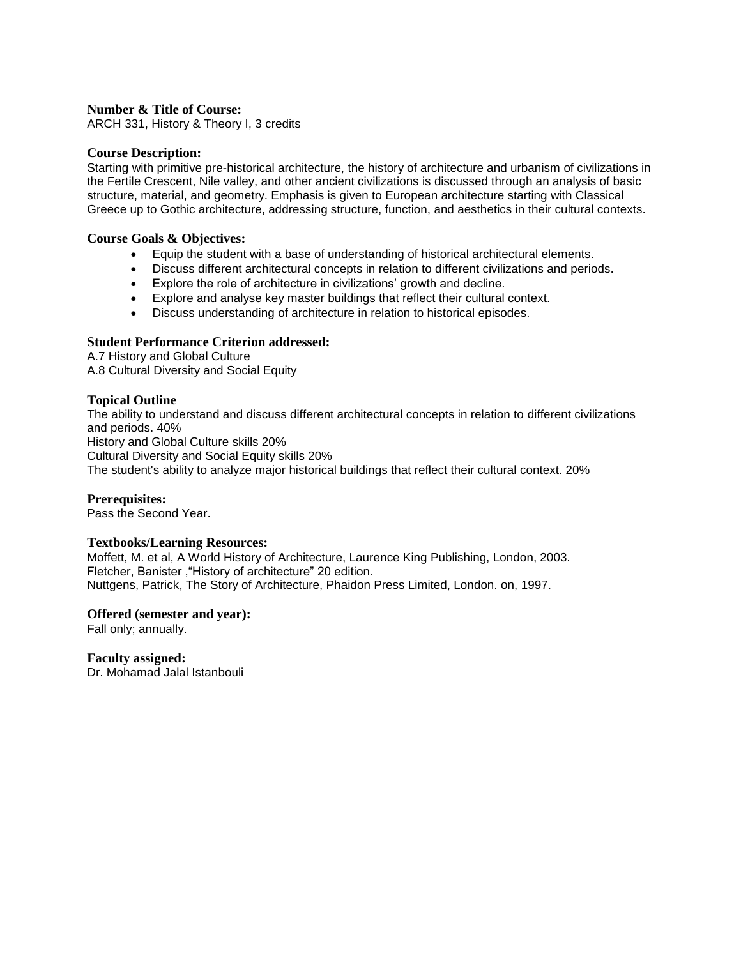ARCH 331, History & Theory I, 3 credits

#### **Course Description:**

Starting with primitive pre-historical architecture, the history of architecture and urbanism of civilizations in the Fertile Crescent, Nile valley, and other ancient civilizations is discussed through an analysis of basic structure, material, and geometry. Emphasis is given to European architecture starting with Classical Greece up to Gothic architecture, addressing structure, function, and aesthetics in their cultural contexts.

#### **Course Goals & Objectives:**

- Equip the student with a base of understanding of historical architectural elements.
- Discuss different architectural concepts in relation to different civilizations and periods.
- Explore the role of architecture in civilizations' growth and decline.
- Explore and analyse key master buildings that reflect their cultural context.
- Discuss understanding of architecture in relation to historical episodes.

### **Student Performance Criterion addressed:**

A.7 History and Global Culture A.8 Cultural Diversity and Social Equity

### **Topical Outline**

The ability to understand and discuss different architectural concepts in relation to different civilizations and periods. 40% History and Global Culture skills 20% Cultural Diversity and Social Equity skills 20% The student's ability to analyze major historical buildings that reflect their cultural context. 20%

### **Prerequisites:**

Pass the Second Year.

#### **Textbooks/Learning Resources:**

Moffett, M. et al, A World History of Architecture, Laurence King Publishing, London, 2003. Fletcher, Banister ,"History of architecture" 20 edition. Nuttgens, Patrick, The Story of Architecture, Phaidon Press Limited, London. on, 1997.

#### **Offered (semester and year):**

Fall only; annually.

#### **Faculty assigned:**

Dr. Mohamad Jalal Istanbouli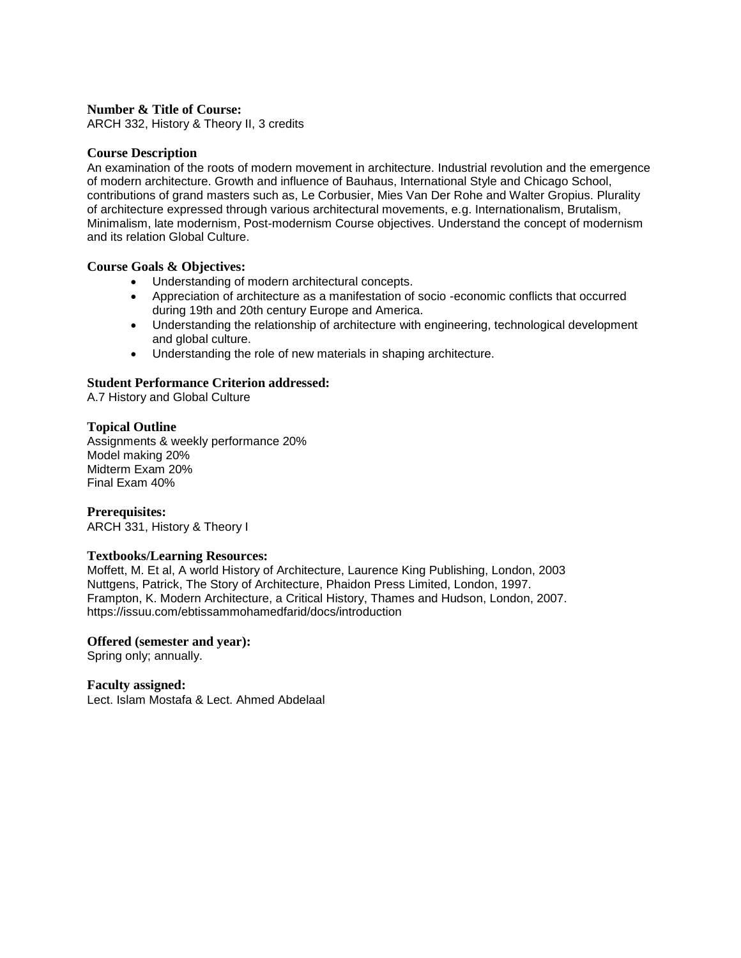ARCH 332, History & Theory II, 3 credits

### **Course Description**

An examination of the roots of modern movement in architecture. Industrial revolution and the emergence of modern architecture. Growth and influence of Bauhaus, International Style and Chicago School, contributions of grand masters such as, Le Corbusier, Mies Van Der Rohe and Walter Gropius. Plurality of architecture expressed through various architectural movements, e.g. Internationalism, Brutalism, Minimalism, late modernism, Post-modernism Course objectives. Understand the concept of modernism and its relation Global Culture.

### **Course Goals & Objectives:**

- Understanding of modern architectural concepts.
- Appreciation of architecture as a manifestation of socio -economic conflicts that occurred during 19th and 20th century Europe and America.
- Understanding the relationship of architecture with engineering, technological development and global culture.
- Understanding the role of new materials in shaping architecture.

### **Student Performance Criterion addressed:**

A.7 History and Global Culture

### **Topical Outline**

Assignments & weekly performance 20% Model making 20% Midterm Exam 20% Final Exam 40%

#### **Prerequisites:**

ARCH 331, History & Theory I

#### **Textbooks/Learning Resources:**

Moffett, M. Et al, A world History of Architecture, Laurence King Publishing, London, 2003 Nuttgens, Patrick, The Story of Architecture, Phaidon Press Limited, London, 1997. Frampton, K. Modern Architecture, a Critical History, Thames and Hudson, London, 2007. https://issuu.com/ebtissammohamedfarid/docs/introduction

**Offered (semester and year):** 

Spring only; annually.

**Faculty assigned:** Lect. Islam Mostafa & Lect. Ahmed Abdelaal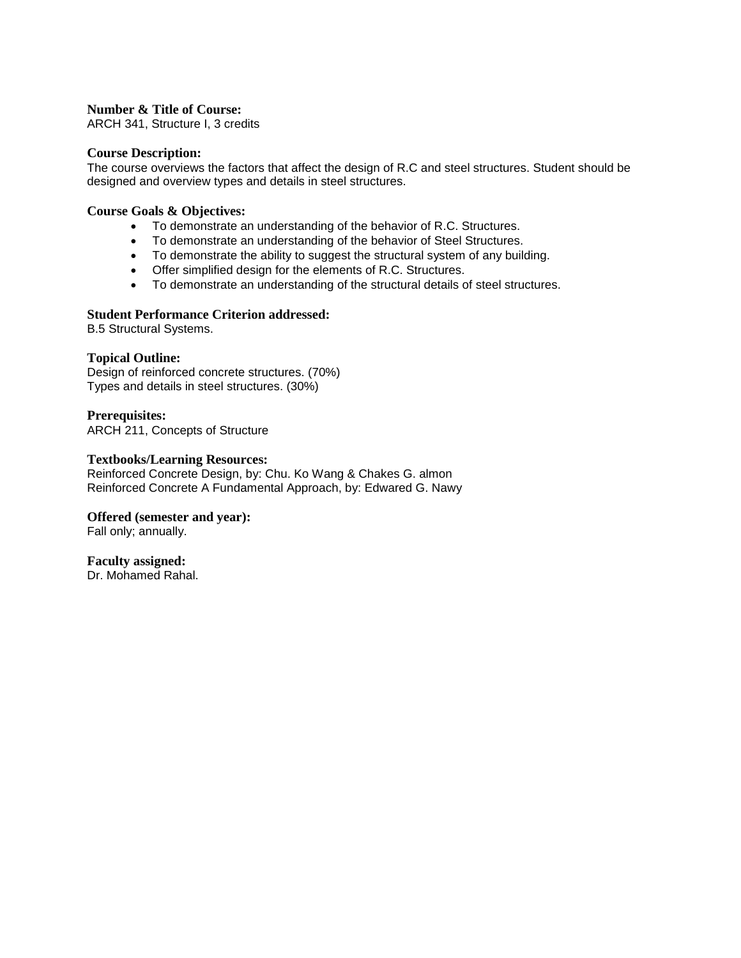ARCH 341, Structure I, 3 credits

#### **Course Description:**

The course overviews the factors that affect the design of R.C and steel structures. Student should be designed and overview types and details in steel structures.

#### **Course Goals & Objectives:**

- To demonstrate an understanding of the behavior of R.C. Structures.
- To demonstrate an understanding of the behavior of Steel Structures.
- To demonstrate the ability to suggest the structural system of any building.
- Offer simplified design for the elements of R.C. Structures.
- To demonstrate an understanding of the structural details of steel structures.

### **Student Performance Criterion addressed:**

B.5 Structural Systems.

### **Topical Outline:**

Design of reinforced concrete structures. (70%) Types and details in steel structures. (30%)

**Prerequisites:** ARCH 211, Concepts of Structure

#### **Textbooks/Learning Resources:**

Reinforced Concrete Design, by: Chu. Ko Wang & Chakes G. almon Reinforced Concrete A Fundamental Approach, by: Edwared G. Nawy

### **Offered (semester and year):**

Fall only; annually.

#### **Faculty assigned:**

Dr. Mohamed Rahal.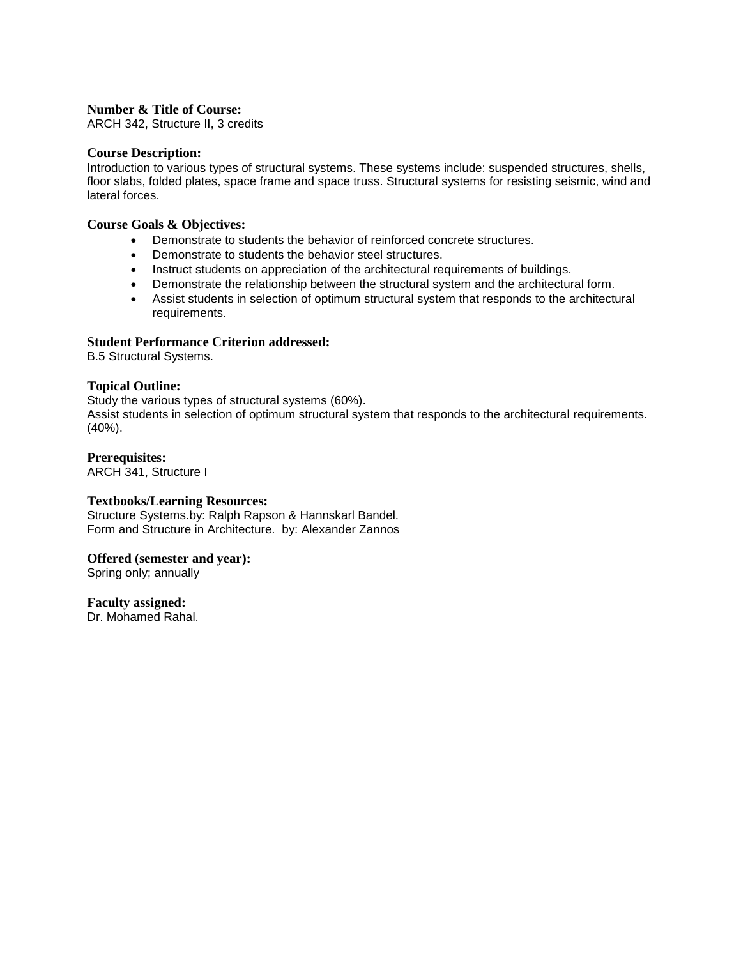ARCH 342, Structure II, 3 credits

#### **Course Description:**

Introduction to various types of structural systems. These systems include: suspended structures, shells, floor slabs, folded plates, space frame and space truss. Structural systems for resisting seismic, wind and lateral forces.

#### **Course Goals & Objectives:**

- Demonstrate to students the behavior of reinforced concrete structures.
- Demonstrate to students the behavior steel structures.
- Instruct students on appreciation of the architectural requirements of buildings.
- Demonstrate the relationship between the structural system and the architectural form.
- Assist students in selection of optimum structural system that responds to the architectural requirements.

### **Student Performance Criterion addressed:**

B.5 Structural Systems.

### **Topical Outline:**

Study the various types of structural systems (60%). Assist students in selection of optimum structural system that responds to the architectural requirements. (40%).

### **Prerequisites:**

ARCH 341, Structure I

#### **Textbooks/Learning Resources:**

Structure Systems.by: Ralph Rapson & Hannskarl Bandel. Form and Structure in Architecture. by: Alexander Zannos

#### **Offered (semester and year):**

Spring only; annually

**Faculty assigned:**

Dr. Mohamed Rahal.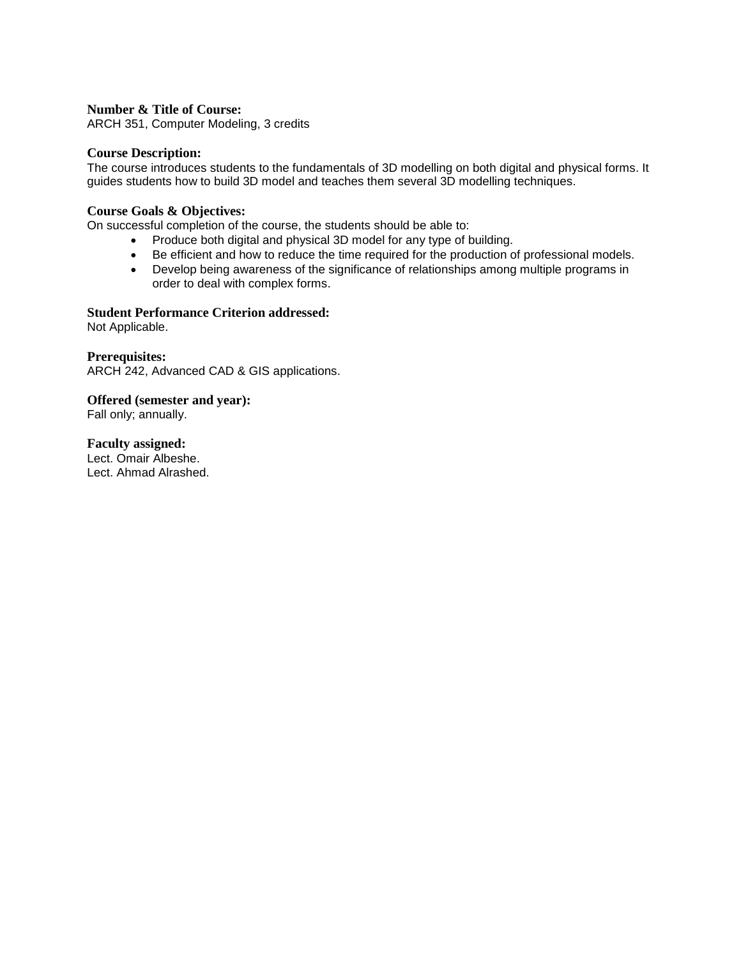ARCH 351, Computer Modeling, 3 credits

#### **Course Description:**

The course introduces students to the fundamentals of 3D modelling on both digital and physical forms. It guides students how to build 3D model and teaches them several 3D modelling techniques.

### **Course Goals & Objectives:**

On successful completion of the course, the students should be able to:

- Produce both digital and physical 3D model for any type of building.
- Be efficient and how to reduce the time required for the production of professional models.
- Develop being awareness of the significance of relationships among multiple programs in order to deal with complex forms.

### **Student Performance Criterion addressed:**

Not Applicable.

**Prerequisites:** ARCH 242, Advanced CAD & GIS applications.

**Offered (semester and year):**

Fall only; annually.

**Faculty assigned:** Lect. Omair Albeshe. Lect. Ahmad Alrashed.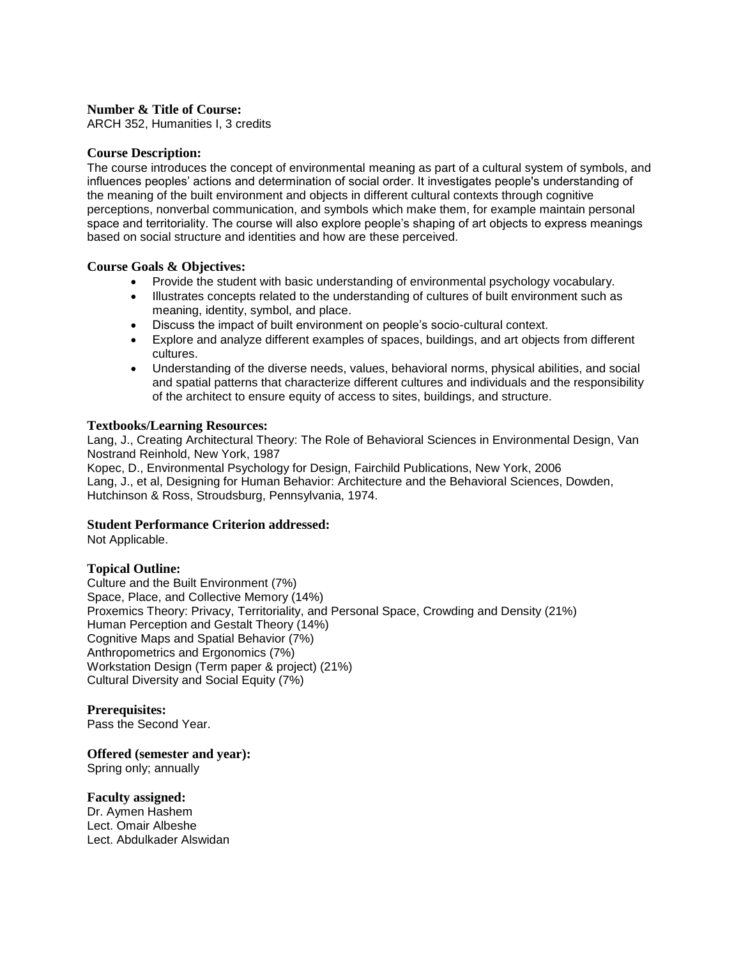ARCH 352, Humanities I, 3 credits

### **Course Description:**

The course introduces the concept of environmental meaning as part of a cultural system of symbols, and influences peoples' actions and determination of social order. It investigates people's understanding of the meaning of the built environment and objects in different cultural contexts through cognitive perceptions, nonverbal communication, and symbols which make them, for example maintain personal space and territoriality. The course will also explore people's shaping of art objects to express meanings based on social structure and identities and how are these perceived.

### **Course Goals & Objectives:**

- Provide the student with basic understanding of environmental psychology vocabulary.
- Illustrates concepts related to the understanding of cultures of built environment such as meaning, identity, symbol, and place.
- Discuss the impact of built environment on people's socio-cultural context.
- Explore and analyze different examples of spaces, buildings, and art objects from different cultures.
- Understanding of the diverse needs, values, behavioral norms, physical abilities, and social and spatial patterns that characterize different cultures and individuals and the responsibility of the architect to ensure equity of access to sites, buildings, and structure.

### **Textbooks/Learning Resources:**

Lang, J., Creating Architectural Theory: The Role of Behavioral Sciences in Environmental Design, Van Nostrand Reinhold, New York, 1987

Kopec, D., Environmental Psychology for Design, Fairchild Publications, New York, 2006 Lang, J., et al, Designing for Human Behavior: Architecture and the Behavioral Sciences, Dowden, Hutchinson & Ross, Stroudsburg, Pennsylvania, 1974.

#### **Student Performance Criterion addressed:**

Not Applicable.

### **Topical Outline:**

Culture and the Built Environment (7%) Space, Place, and Collective Memory (14%) Proxemics Theory: Privacy, Territoriality, and Personal Space, Crowding and Density (21%) Human Perception and Gestalt Theory (14%) Cognitive Maps and Spatial Behavior (7%) Anthropometrics and Ergonomics (7%) Workstation Design (Term paper & project) (21%) Cultural Diversity and Social Equity (7%)

#### **Prerequisites:**

Pass the Second Year.

**Offered (semester and year):** 

Spring only; annually

# **Faculty assigned:**

Dr. Aymen Hashem Lect. Omair Albeshe Lect. Abdulkader Alswidan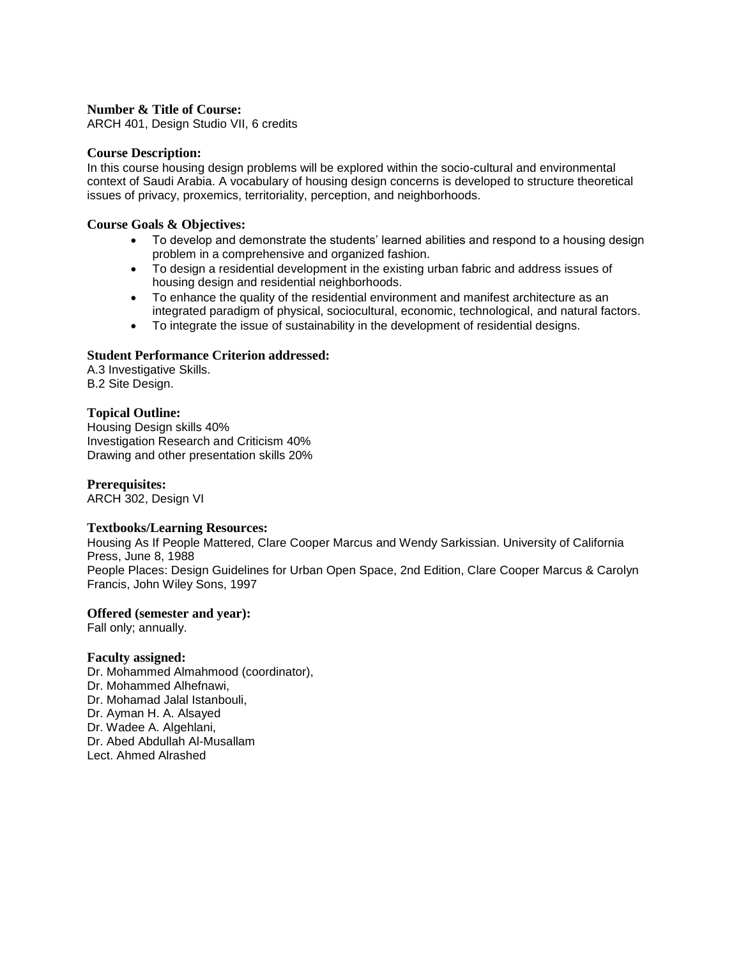ARCH 401, Design Studio VII, 6 credits

#### **Course Description:**

In this course housing design problems will be explored within the socio-cultural and environmental context of Saudi Arabia. A vocabulary of housing design concerns is developed to structure theoretical issues of privacy, proxemics, territoriality, perception, and neighborhoods.

### **Course Goals & Objectives:**

- To develop and demonstrate the students' learned abilities and respond to a housing design problem in a comprehensive and organized fashion.
- To design a residential development in the existing urban fabric and address issues of housing design and residential neighborhoods.
- To enhance the quality of the residential environment and manifest architecture as an integrated paradigm of physical, sociocultural, economic, technological, and natural factors.
- To integrate the issue of sustainability in the development of residential designs.

### **Student Performance Criterion addressed:**

A.3 Investigative Skills. B.2 Site Design.

### **Topical Outline:**

Housing Design skills 40% Investigation Research and Criticism 40% Drawing and other presentation skills 20%

### **Prerequisites:**

ARCH 302, Design VI

#### **Textbooks/Learning Resources:**

Housing As If People Mattered, Clare Cooper Marcus and Wendy Sarkissian. University of California Press, June 8, 1988 People Places: Design Guidelines for Urban Open Space, 2nd Edition, Clare Cooper Marcus & Carolyn Francis, John Wiley Sons, 1997

#### **Offered (semester and year):**

Fall only; annually.

#### **Faculty assigned:**

Dr. Mohammed Almahmood (coordinator), Dr. Mohammed Alhefnawi, Dr. Mohamad Jalal Istanbouli, Dr. Ayman H. A. Alsayed Dr. Wadee A. Algehlani, Dr. Abed Abdullah Al-Musallam Lect. Ahmed Alrashed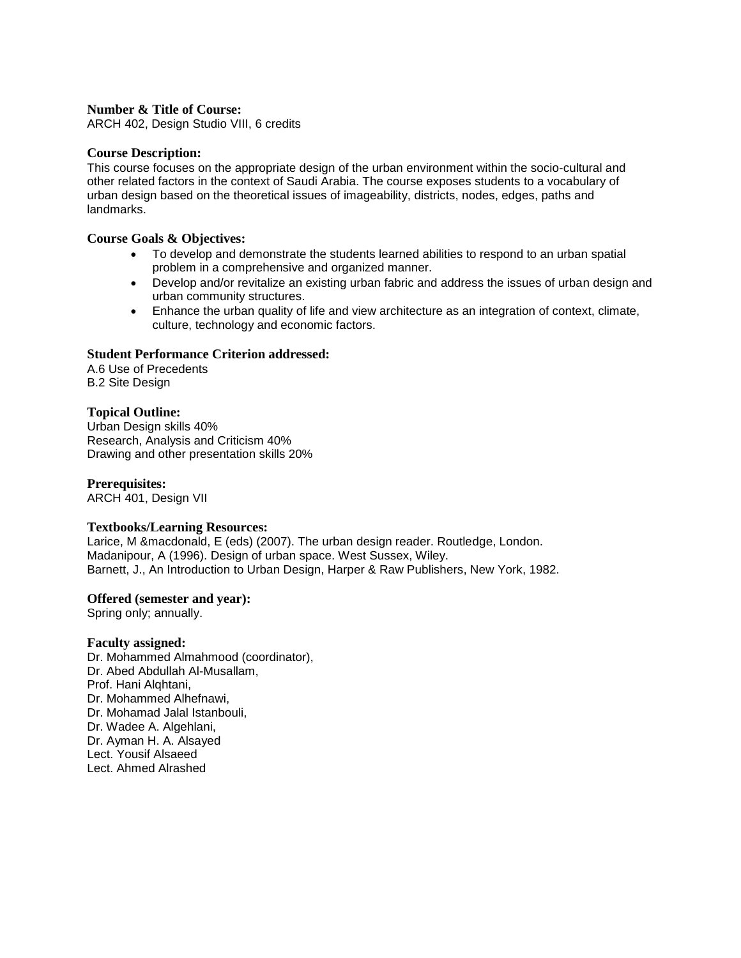ARCH 402, Design Studio VIII, 6 credits

#### **Course Description:**

This course focuses on the appropriate design of the urban environment within the socio-cultural and other related factors in the context of Saudi Arabia. The course exposes students to a vocabulary of urban design based on the theoretical issues of imageability, districts, nodes, edges, paths and landmarks.

#### **Course Goals & Objectives:**

- To develop and demonstrate the students learned abilities to respond to an urban spatial problem in a comprehensive and organized manner.
- Develop and/or revitalize an existing urban fabric and address the issues of urban design and urban community structures.
- Enhance the urban quality of life and view architecture as an integration of context, climate, culture, technology and economic factors.

### **Student Performance Criterion addressed:**

A.6 Use of Precedents B.2 Site Design

### **Topical Outline:**

Urban Design skills 40% Research, Analysis and Criticism 40% Drawing and other presentation skills 20%

### **Prerequisites:**

ARCH 401, Design VII

#### **Textbooks/Learning Resources:**

Larice, M &macdonald, E (eds) (2007). The urban design reader. Routledge, London. Madanipour, A (1996). Design of urban space. West Sussex, Wiley. Barnett, J., An Introduction to Urban Design, Harper & Raw Publishers, New York, 1982.

#### **Offered (semester and year):**

Spring only; annually.

#### **Faculty assigned:**

Dr. Mohammed Almahmood (coordinator), Dr. Abed Abdullah Al-Musallam, Prof. Hani Alqhtani, Dr. Mohammed Alhefnawi, Dr. Mohamad Jalal Istanbouli, Dr. Wadee A. Algehlani, Dr. Ayman H. A. Alsayed Lect. Yousif Alsaeed Lect. Ahmed Alrashed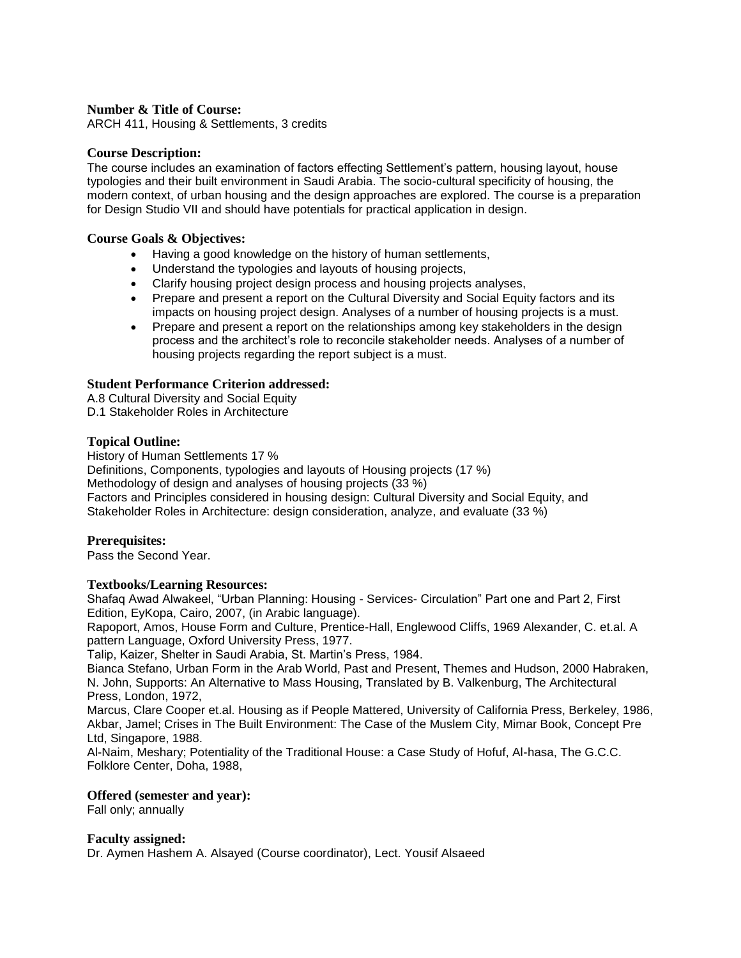ARCH 411, Housing & Settlements, 3 credits

### **Course Description:**

The course includes an examination of factors effecting Settlement's pattern, housing layout, house typologies and their built environment in Saudi Arabia. The socio-cultural specificity of housing, the modern context, of urban housing and the design approaches are explored. The course is a preparation for Design Studio VII and should have potentials for practical application in design.

#### **Course Goals & Objectives:**

- Having a good knowledge on the history of human settlements,
- Understand the typologies and layouts of housing projects,
- Clarify housing project design process and housing projects analyses,
- Prepare and present a report on the Cultural Diversity and Social Equity factors and its impacts on housing project design. Analyses of a number of housing projects is a must.
- Prepare and present a report on the relationships among key stakeholders in the design process and the architect's role to reconcile stakeholder needs. Analyses of a number of housing projects regarding the report subject is a must.

### **Student Performance Criterion addressed:**

A.8 Cultural Diversity and Social Equity D.1 Stakeholder Roles in Architecture

#### **Topical Outline:**

History of Human Settlements 17 %

Definitions, Components, typologies and layouts of Housing projects (17 %) Methodology of design and analyses of housing projects (33 %) Factors and Principles considered in housing design: Cultural Diversity and Social Equity, and Stakeholder Roles in Architecture: design consideration, analyze, and evaluate (33 %)

#### **Prerequisites:**

Pass the Second Year.

#### **Textbooks/Learning Resources:**

Shafaq Awad Alwakeel, "Urban Planning: Housing - Services- Circulation" Part one and Part 2, First Edition, EyKopa, Cairo, 2007, (in Arabic language).

Rapoport, Amos, House Form and Culture, Prentice-Hall, Englewood Cliffs, 1969 Alexander, C. et.al. A pattern Language, Oxford University Press, 1977.

Talip, Kaizer, Shelter in Saudi Arabia, St. Martin's Press, 1984.

Bianca Stefano, Urban Form in the Arab World, Past and Present, Themes and Hudson, 2000 Habraken, N. John, Supports: An Alternative to Mass Housing, Translated by B. Valkenburg, The Architectural Press, London, 1972,

Marcus, Clare Cooper et.al. Housing as if People Mattered, University of California Press, Berkeley, 1986, Akbar, Jamel; Crises in The Built Environment: The Case of the Muslem City, Mimar Book, Concept Pre Ltd, Singapore, 1988.

Al-Naim, Meshary; Potentiality of the Traditional House: a Case Study of Hofuf, Al-hasa, The G.C.C. Folklore Center, Doha, 1988,

#### **Offered (semester and year):**

Fall only; annually

#### **Faculty assigned:**

Dr. Aymen Hashem A. Alsayed (Course coordinator), Lect. Yousif Alsaeed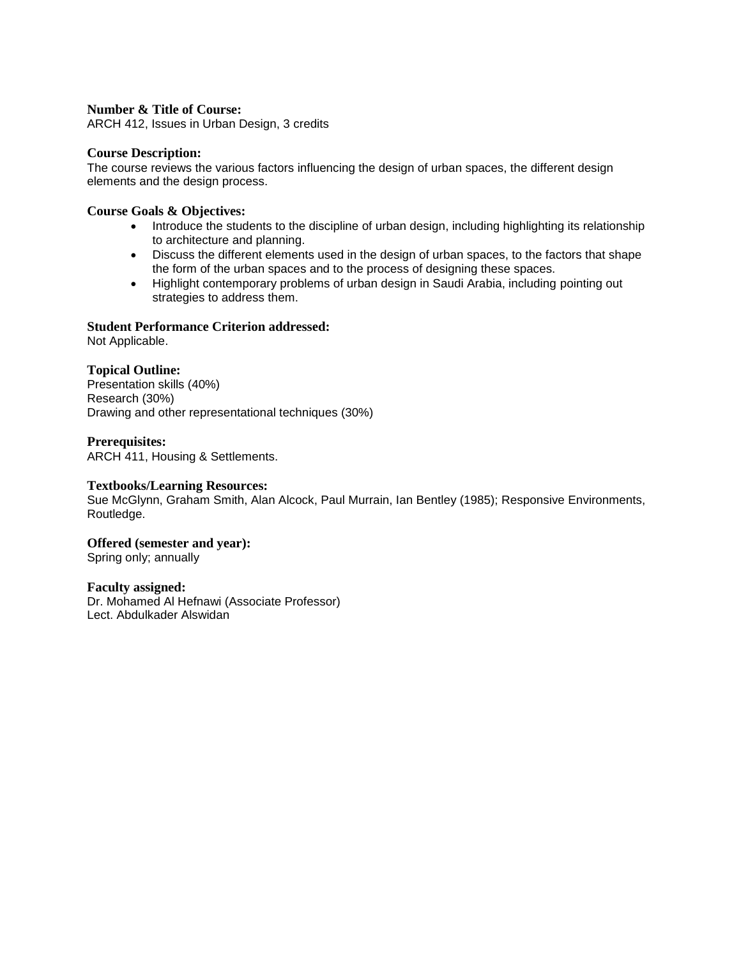ARCH 412, Issues in Urban Design, 3 credits

### **Course Description:**

The course reviews the various factors influencing the design of urban spaces, the different design elements and the design process.

### **Course Goals & Objectives:**

- Introduce the students to the discipline of urban design, including highlighting its relationship to architecture and planning.
- Discuss the different elements used in the design of urban spaces, to the factors that shape the form of the urban spaces and to the process of designing these spaces.
- Highlight contemporary problems of urban design in Saudi Arabia, including pointing out strategies to address them.

### **Student Performance Criterion addressed:**

Not Applicable.

### **Topical Outline:**

Presentation skills (40%) Research (30%) Drawing and other representational techniques (30%)

### **Prerequisites:**

ARCH 411, Housing & Settlements.

#### **Textbooks/Learning Resources:**

Sue McGlynn, Graham Smith, Alan Alcock, Paul Murrain, Ian Bentley (1985); Responsive Environments, Routledge.

### **Offered (semester and year):**

Spring only; annually

#### **Faculty assigned:**

Dr. Mohamed Al Hefnawi (Associate Professor) Lect. Abdulkader Alswidan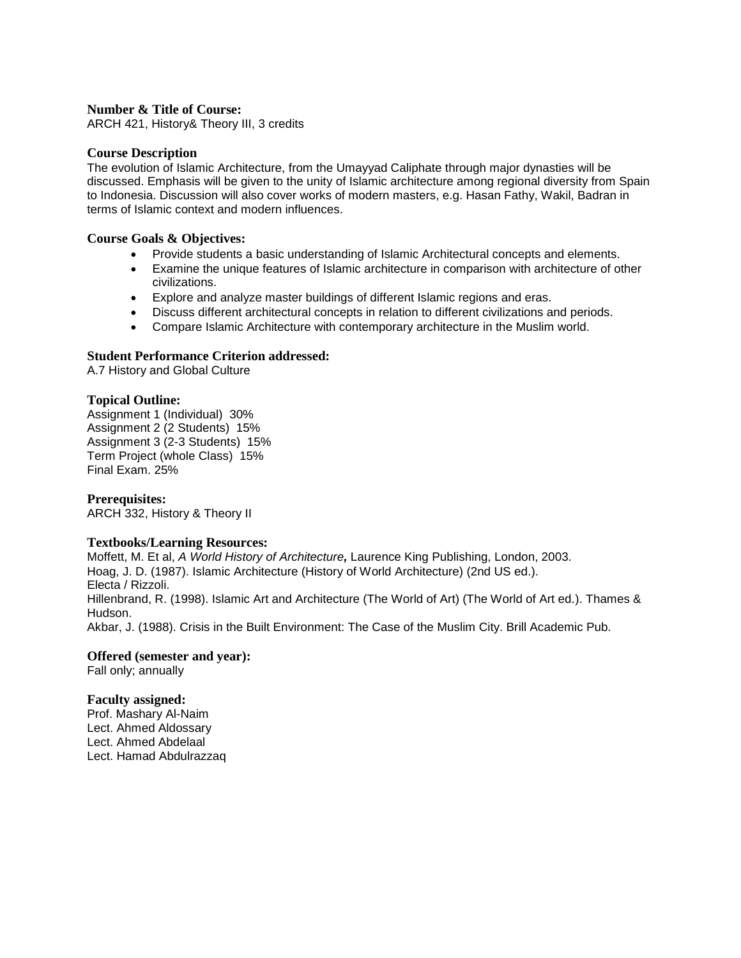ARCH 421, History& Theory III, 3 credits

#### **Course Description**

The evolution of Islamic Architecture, from the Umayyad Caliphate through major dynasties will be discussed. Emphasis will be given to the unity of Islamic architecture among regional diversity from Spain to Indonesia. Discussion will also cover works of modern masters, e.g. Hasan Fathy, Wakil, Badran in terms of Islamic context and modern influences.

#### **Course Goals & Objectives:**

- Provide students a basic understanding of Islamic Architectural concepts and elements.
- Examine the unique features of Islamic architecture in comparison with architecture of other civilizations.
- Explore and analyze master buildings of different Islamic regions and eras.
- Discuss different architectural concepts in relation to different civilizations and periods.
- Compare Islamic Architecture with contemporary architecture in the Muslim world.

### **Student Performance Criterion addressed:**

A.7 History and Global Culture

### **Topical Outline:**

Assignment 1 (Individual) 30% Assignment 2 (2 Students) 15% Assignment 3 (2-3 Students) 15% Term Project (whole Class) 15% Final Exam. 25%

**Prerequisites:** ARCH 332, History & Theory II

#### **Textbooks/Learning Resources:**

Moffett, M. Et al, *A World History of Architecture,* Laurence King Publishing, London, 2003. Hoag, J. D. (1987). Islamic Architecture (History of World Architecture) (2nd US ed.). Electa / Rizzoli. Hillenbrand, R. (1998). Islamic Art and Architecture (The World of Art) (The World of Art ed.). Thames & Hudson. Akbar, J. (1988). Crisis in the Built Environment: The Case of the Muslim City. Brill Academic Pub.

#### **Offered (semester and year):**

Fall only; annually

#### **Faculty assigned:**

Prof. Mashary Al-Naim Lect. Ahmed Aldossary Lect. Ahmed Abdelaal Lect. Hamad Abdulrazzaq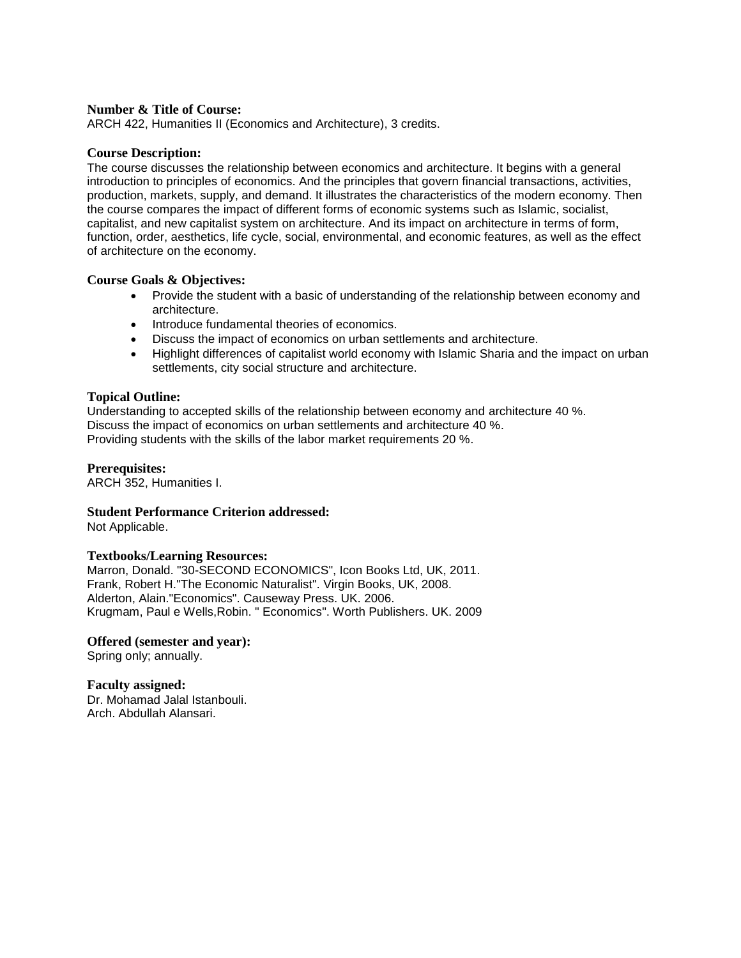ARCH 422, Humanities II (Economics and Architecture), 3 credits.

#### **Course Description:**

The course discusses the relationship between economics and architecture. It begins with a general introduction to principles of economics. And the principles that govern financial transactions, activities, production, markets, supply, and demand. It illustrates the characteristics of the modern economy. Then the course compares the impact of different forms of economic systems such as Islamic, socialist, capitalist, and new capitalist system on architecture. And its impact on architecture in terms of form, function, order, aesthetics, life cycle, social, environmental, and economic features, as well as the effect of architecture on the economy.

#### **Course Goals & Objectives:**

- Provide the student with a basic of understanding of the relationship between economy and architecture.
- Introduce fundamental theories of economics.
- Discuss the impact of economics on urban settlements and architecture.
- Highlight differences of capitalist world economy with Islamic Sharia and the impact on urban settlements, city social structure and architecture.

#### **Topical Outline:**

Understanding to accepted skills of the relationship between economy and architecture 40 %. Discuss the impact of economics on urban settlements and architecture 40 %. Providing students with the skills of the labor market requirements 20 %.

### **Prerequisites:**

ARCH 352, Humanities I.

#### **Student Performance Criterion addressed:**

Not Applicable.

#### **Textbooks/Learning Resources:**

Marron, Donald. "30-SECOND ECONOMICS", Icon Books Ltd, UK, 2011. Frank, Robert H."The Economic Naturalist". Virgin Books, UK, 2008. Alderton, Alain."Economics". Causeway Press. UK. 2006. Krugmam, Paul e Wells,Robin. " Economics". Worth Publishers. UK. 2009

## **Offered (semester and year):**

Spring only; annually.

#### **Faculty assigned:**

Dr. Mohamad Jalal Istanbouli. Arch. Abdullah Alansari.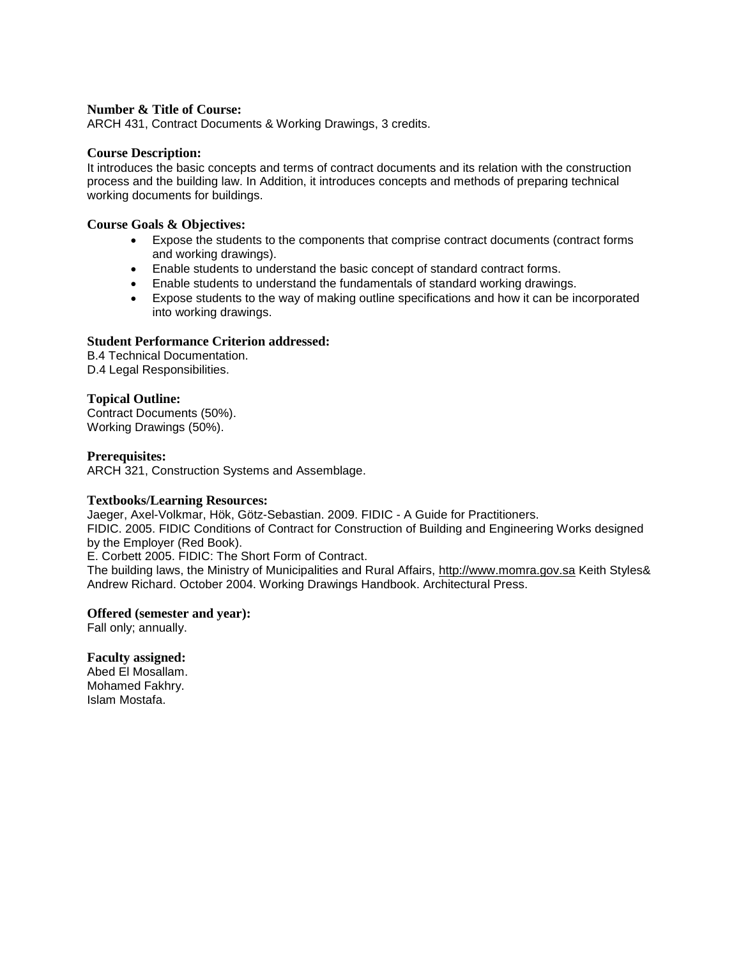ARCH 431, Contract Documents & Working Drawings, 3 credits.

#### **Course Description:**

It introduces the basic concepts and terms of contract documents and its relation with the construction process and the building law. In Addition, it introduces concepts and methods of preparing technical working documents for buildings.

#### **Course Goals & Objectives:**

- Expose the students to the components that comprise contract documents (contract forms and working drawings).
- Enable students to understand the basic concept of standard contract forms.
- Enable students to understand the fundamentals of standard working drawings.
- Expose students to the way of making outline specifications and how it can be incorporated into working drawings.

### **Student Performance Criterion addressed:**

B.4 Technical Documentation. D.4 Legal Responsibilities.

### **Topical Outline:**

Contract Documents (50%). Working Drawings (50%).

### **Prerequisites:**

ARCH 321, Construction Systems and Assemblage.

#### **Textbooks/Learning Resources:**

Jaeger, Axel-Volkmar, Hök, Götz-Sebastian. 2009. FIDIC - A Guide for Practitioners.

FIDIC. 2005. FIDIC Conditions of Contract for Construction of Building and Engineering Works designed by the Employer (Red Book).

E. Corbett 2005. FIDIC: The Short Form of Contract.

The building laws, the Ministry of Municipalities and Rural Affairs, http://www.momra.gov.sa Keith Styles& Andrew Richard. October 2004. Working Drawings Handbook. Architectural Press.

#### **Offered (semester and year):**

Fall only; annually.

#### **Faculty assigned:**

Abed El Mosallam. Mohamed Fakhry. Islam Mostafa.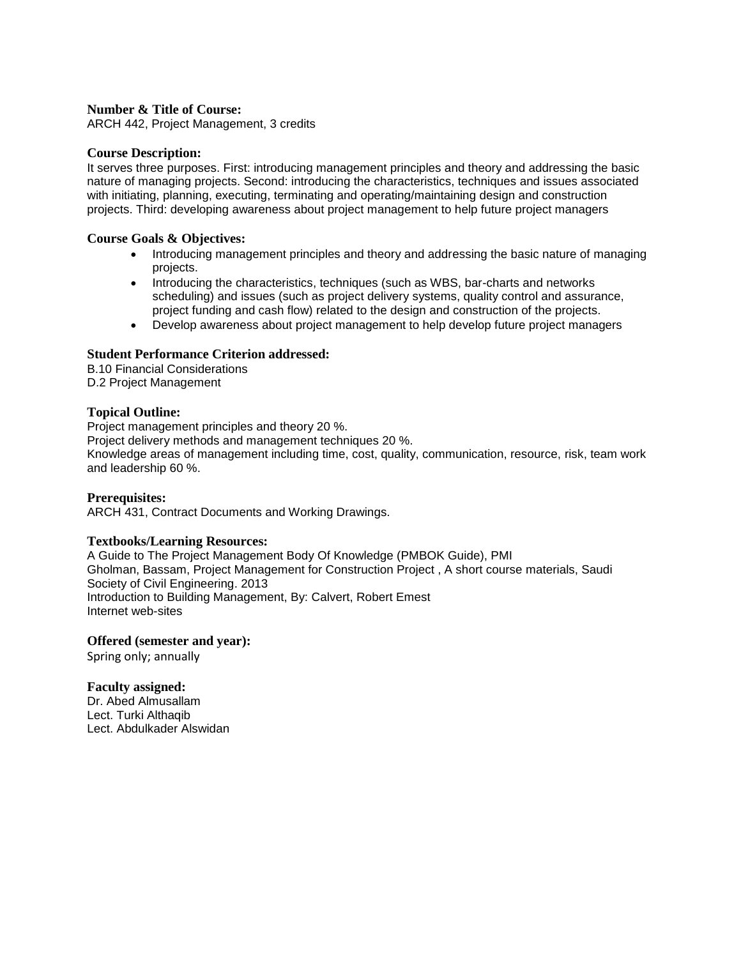ARCH 442, Project Management, 3 credits

#### **Course Description:**

It serves three purposes. First: introducing management principles and theory and addressing the basic nature of managing projects. Second: introducing the characteristics, techniques and issues associated with initiating, planning, executing, terminating and operating/maintaining design and construction projects. Third: developing awareness about project management to help future project managers

#### **Course Goals & Objectives:**

- Introducing management principles and theory and addressing the basic nature of managing projects.
- Introducing the characteristics, techniques (such as WBS, bar-charts and networks scheduling) and issues (such as project delivery systems, quality control and assurance, project funding and cash flow) related to the design and construction of the projects.
- Develop awareness about project management to help develop future project managers

### **Student Performance Criterion addressed:**

B.10 Financial Considerations D.2 Project Management

### **Topical Outline:**

Project management principles and theory 20 %. Project delivery methods and management techniques 20 %. Knowledge areas of management including time, cost, quality, communication, resource, risk, team work and leadership 60 %.

#### **Prerequisites:**

ARCH 431, Contract Documents and Working Drawings.

#### **Textbooks/Learning Resources:**

A Guide to The Project Management Body Of Knowledge (PMBOK Guide), PMI Gholman, Bassam, Project Management for Construction Project , A short course materials, Saudi Society of Civil Engineering. 2013 Introduction to Building Management, By: Calvert, Robert Emest Internet web-sites

#### **Offered (semester and year):**

Spring only; annually

### **Faculty assigned:**

Dr. Abed Almusallam Lect. Turki Althaqib Lect. Abdulkader Alswidan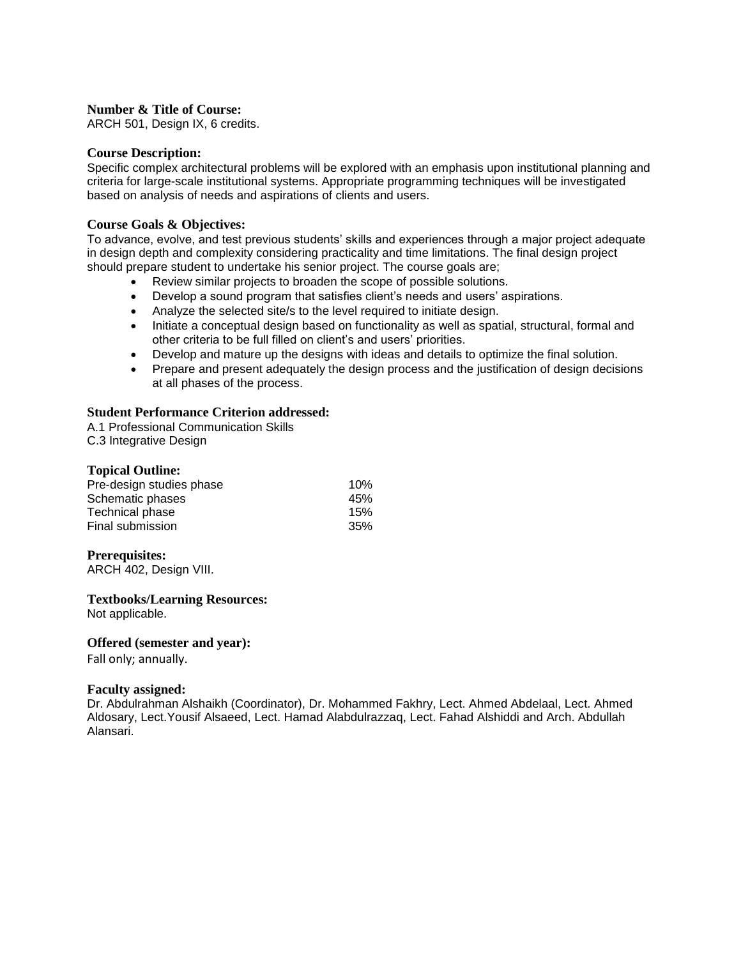ARCH 501, Design IX, 6 credits.

#### **Course Description:**

Specific complex architectural problems will be explored with an emphasis upon institutional planning and criteria for large-scale institutional systems. Appropriate programming techniques will be investigated based on analysis of needs and aspirations of clients and users.

### **Course Goals & Objectives:**

To advance, evolve, and test previous students' skills and experiences through a major project adequate in design depth and complexity considering practicality and time limitations. The final design project should prepare student to undertake his senior project. The course goals are;

- Review similar projects to broaden the scope of possible solutions.
- Develop a sound program that satisfies client's needs and users' aspirations.
- Analyze the selected site/s to the level required to initiate design.
- Initiate a conceptual design based on functionality as well as spatial, structural, formal and other criteria to be full filled on client's and users' priorities.
- Develop and mature up the designs with ideas and details to optimize the final solution.
- Prepare and present adequately the design process and the justification of design decisions at all phases of the process.

### **Student Performance Criterion addressed:**

A.1 Professional Communication Skills C.3 Integrative Design

### **Topical Outline:**

| 10% |
|-----|
| 45% |
| 15% |
| 35% |
|     |

### **Prerequisites:**

ARCH 402, Design VIII.

# **Textbooks/Learning Resources:**

Not applicable.

#### **Offered (semester and year):**

Fall only; annually.

#### **Faculty assigned:**

Dr. Abdulrahman Alshaikh (Coordinator), Dr. Mohammed Fakhry, Lect. Ahmed Abdelaal, Lect. Ahmed Aldosary, Lect.Yousif Alsaeed, Lect. Hamad Alabdulrazzaq, Lect. Fahad Alshiddi and Arch. Abdullah Alansari.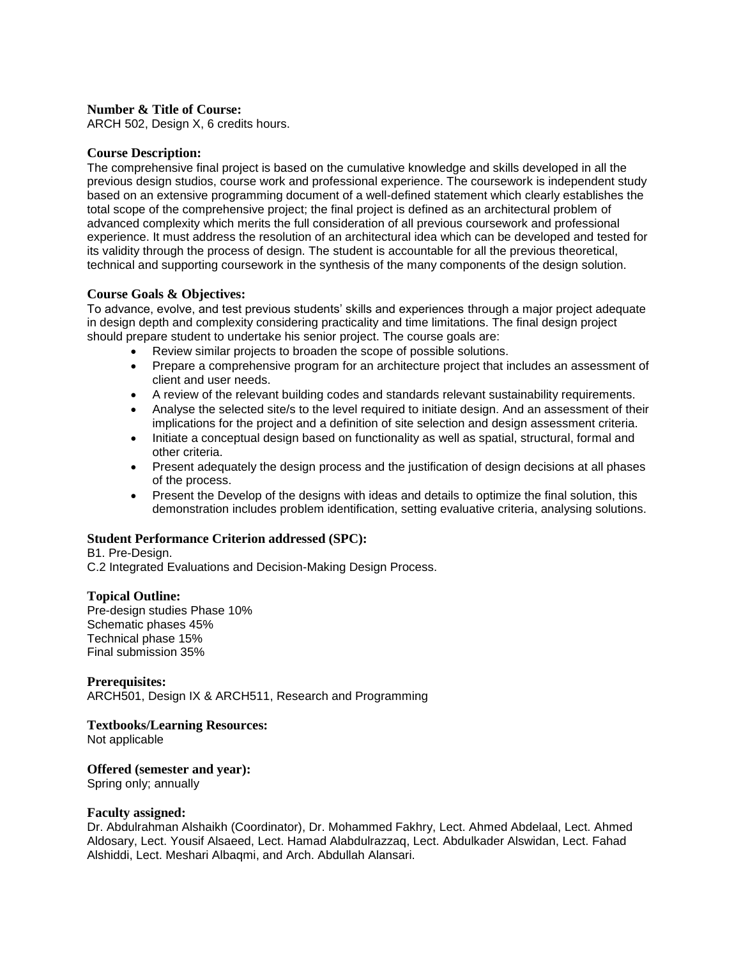ARCH 502, Design X, 6 credits hours.

### **Course Description:**

The comprehensive final project is based on the cumulative knowledge and skills developed in all the previous design studios, course work and professional experience. The coursework is independent study based on an extensive programming document of a well-defined statement which clearly establishes the total scope of the comprehensive project; the final project is defined as an architectural problem of advanced complexity which merits the full consideration of all previous coursework and professional experience. It must address the resolution of an architectural idea which can be developed and tested for its validity through the process of design. The student is accountable for all the previous theoretical, technical and supporting coursework in the synthesis of the many components of the design solution.

### **Course Goals & Objectives:**

To advance, evolve, and test previous students' skills and experiences through a major project adequate in design depth and complexity considering practicality and time limitations. The final design project should prepare student to undertake his senior project. The course goals are:

- Review similar projects to broaden the scope of possible solutions.
- Prepare a comprehensive program for an architecture project that includes an assessment of client and user needs.
- A review of the relevant building codes and standards relevant sustainability requirements.
- Analyse the selected site/s to the level required to initiate design. And an assessment of their implications for the project and a definition of site selection and design assessment criteria.
- Initiate a conceptual design based on functionality as well as spatial, structural, formal and other criteria.
- Present adequately the design process and the justification of design decisions at all phases of the process.
- Present the Develop of the designs with ideas and details to optimize the final solution, this demonstration includes problem identification, setting evaluative criteria, analysing solutions.

### **Student Performance Criterion addressed (SPC):**

B1. Pre-Design.

C.2 Integrated Evaluations and Decision-Making Design Process.

#### **Topical Outline:**

Pre-design studies Phase 10% Schematic phases 45% Technical phase 15% Final submission 35%

**Prerequisites:**  ARCH501, Design IX & ARCH511, Research and Programming

#### **Textbooks/Learning Resources:**

Not applicable

#### **Offered (semester and year):**

Spring only; annually

#### **Faculty assigned:**

Dr. Abdulrahman Alshaikh (Coordinator), Dr. Mohammed Fakhry, Lect. Ahmed Abdelaal, Lect. Ahmed Aldosary, Lect. Yousif Alsaeed, Lect. Hamad Alabdulrazzaq, Lect. Abdulkader Alswidan, Lect. Fahad Alshiddi, Lect. Meshari Albaqmi, and Arch. Abdullah Alansari.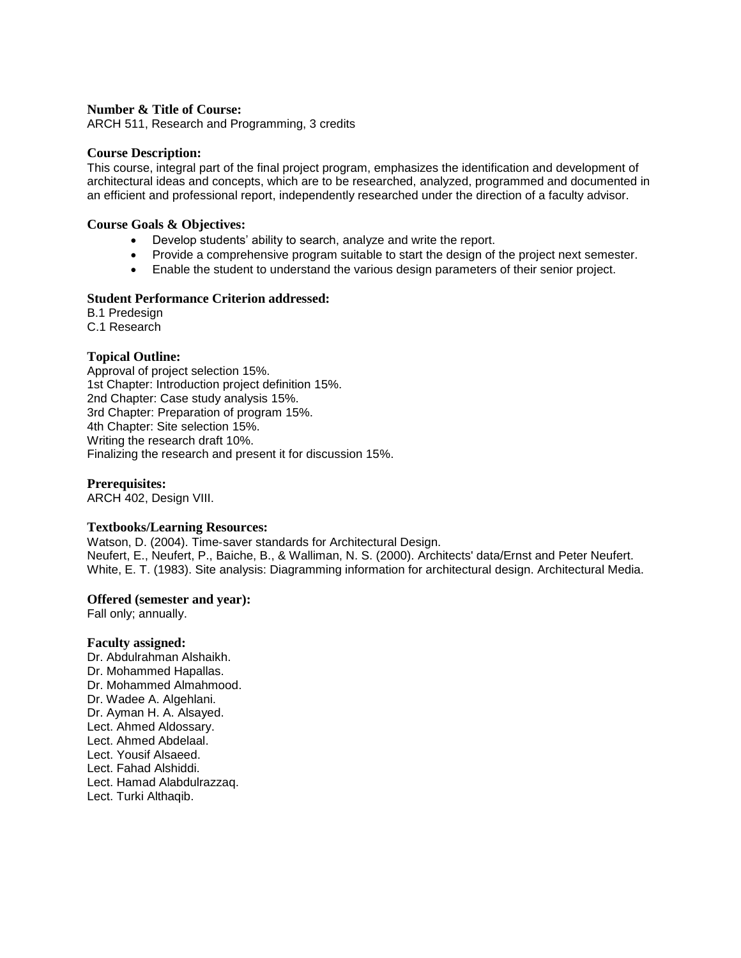ARCH 511, Research and Programming, 3 credits

#### **Course Description:**

This course, integral part of the final project program, emphasizes the identification and development of architectural ideas and concepts, which are to be researched, analyzed, programmed and documented in an efficient and professional report, independently researched under the direction of a faculty advisor.

#### **Course Goals & Objectives:**

- Develop students' ability to search, analyze and write the report.
- Provide a comprehensive program suitable to start the design of the project next semester.
- Enable the student to understand the various design parameters of their senior project.

### **Student Performance Criterion addressed:**

B.1 Predesign

C.1 Research

### **Topical Outline:**

Approval of project selection 15%. 1st Chapter: Introduction project definition 15%. 2nd Chapter: Case study analysis 15%. 3rd Chapter: Preparation of program 15%. 4th Chapter: Site selection 15%. Writing the research draft 10%. Finalizing the research and present it for discussion 15%.

### **Prerequisites:**

ARCH 402, Design VIII.

#### **Textbooks/Learning Resources:**

Watson, D. (2004). Time‐saver standards for Architectural Design. Neufert, E., Neufert, P., Baiche, B., & Walliman, N. S. (2000). Architects' data/Ernst and Peter Neufert. White, E. T. (1983). Site analysis: Diagramming information for architectural design. Architectural Media.

#### **Offered (semester and year):**

Fall only; annually.

#### **Faculty assigned:**

Dr. Abdulrahman Alshaikh. Dr. Mohammed Hapallas. Dr. Mohammed Almahmood. Dr. Wadee A. Algehlani. Dr. Ayman H. A. Alsayed. Lect. Ahmed Aldossary. Lect. Ahmed Abdelaal. Lect. Yousif Alsaeed. Lect. Fahad Alshiddi. Lect. Hamad Alabdulrazzaq. Lect. Turki Althaqib.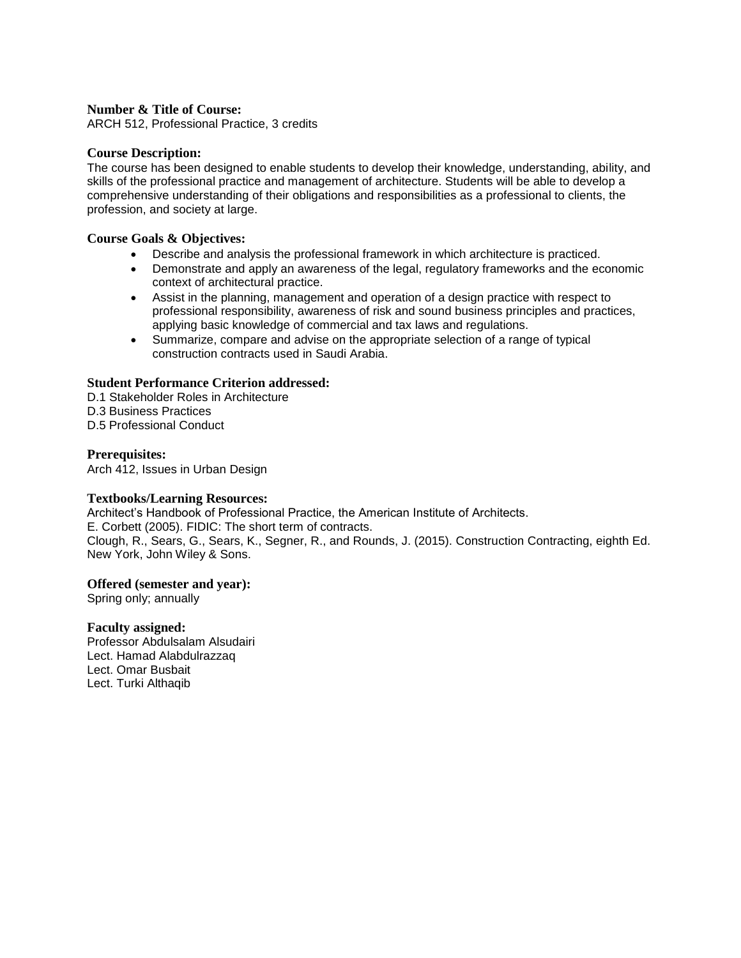ARCH 512, Professional Practice, 3 credits

### **Course Description:**

The course has been designed to enable students to develop their knowledge, understanding, ability, and skills of the professional practice and management of architecture. Students will be able to develop a comprehensive understanding of their obligations and responsibilities as a professional to clients, the profession, and society at large.

#### **Course Goals & Objectives:**

- Describe and analysis the professional framework in which architecture is practiced.
- Demonstrate and apply an awareness of the legal, regulatory frameworks and the economic context of architectural practice.
- Assist in the planning, management and operation of a design practice with respect to professional responsibility, awareness of risk and sound business principles and practices, applying basic knowledge of commercial and tax laws and regulations.
- Summarize, compare and advise on the appropriate selection of a range of typical construction contracts used in Saudi Arabia.

### **Student Performance Criterion addressed:**

- D.1 Stakeholder Roles in Architecture
- D.3 Business Practices
- D.5 Professional Conduct

### **Prerequisites:**

Arch 412, Issues in Urban Design

#### **Textbooks/Learning Resources:**

Architect's Handbook of Professional Practice, the American Institute of Architects. E. Corbett (2005). FIDIC: The short term of contracts. Clough, R., Sears, G., Sears, K., Segner, R., and Rounds, J. (2015). Construction Contracting, eighth Ed. New York, John Wiley & Sons.

#### **Offered (semester and year):**

Spring only; annually

#### **Faculty assigned:**

Professor Abdulsalam Alsudairi Lect. Hamad Alabdulrazzaq Lect. Omar Busbait Lect. Turki Althaqib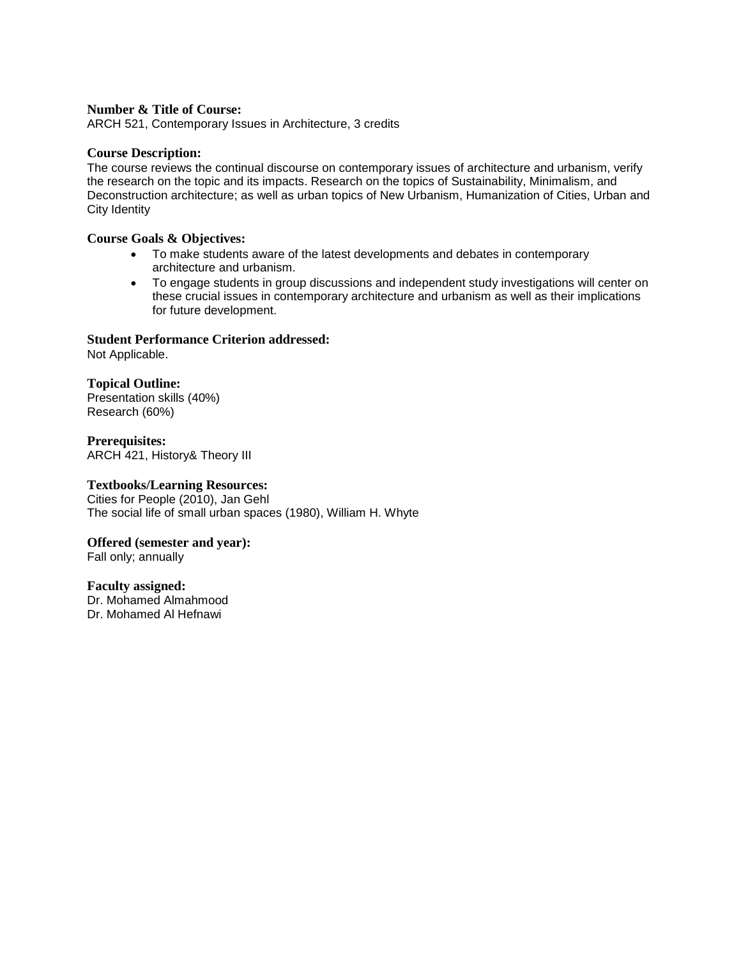ARCH 521, Contemporary Issues in Architecture, 3 credits

#### **Course Description:**

The course reviews the continual discourse on contemporary issues of architecture and urbanism, verify the research on the topic and its impacts. Research on the topics of Sustainability, Minimalism, and Deconstruction architecture; as well as urban topics of New Urbanism, Humanization of Cities, Urban and City Identity

### **Course Goals & Objectives:**

- To make students aware of the latest developments and debates in contemporary architecture and urbanism.
- To engage students in group discussions and independent study investigations will center on these crucial issues in contemporary architecture and urbanism as well as their implications for future development.

# **Student Performance Criterion addressed:**

Not Applicable.

### **Topical Outline:**

Presentation skills (40%) Research (60%)

**Prerequisites:** ARCH 421, History& Theory III

### **Textbooks/Learning Resources:**

Cities for People (2010), Jan Gehl The social life of small urban spaces (1980), William H. Whyte

### **Offered (semester and year):**

Fall only; annually

#### **Faculty assigned:**

Dr. Mohamed Almahmood Dr. Mohamed Al Hefnawi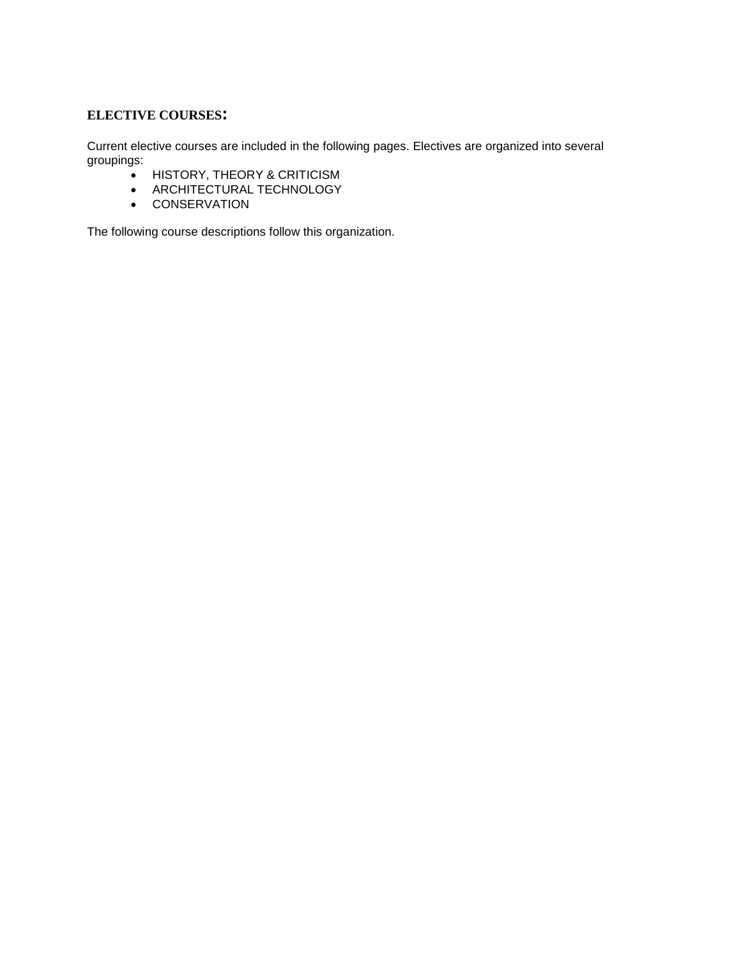### **ELECTIVE COURSES:**

Current elective courses are included in the following pages. Electives are organized into several groupings:

- $\bullet$  HISTORY, THEORY & CRITICISM
- ARCHITECTURAL TECHNOLOGY
- **•** CONSERVATION

The following course descriptions follow this organization.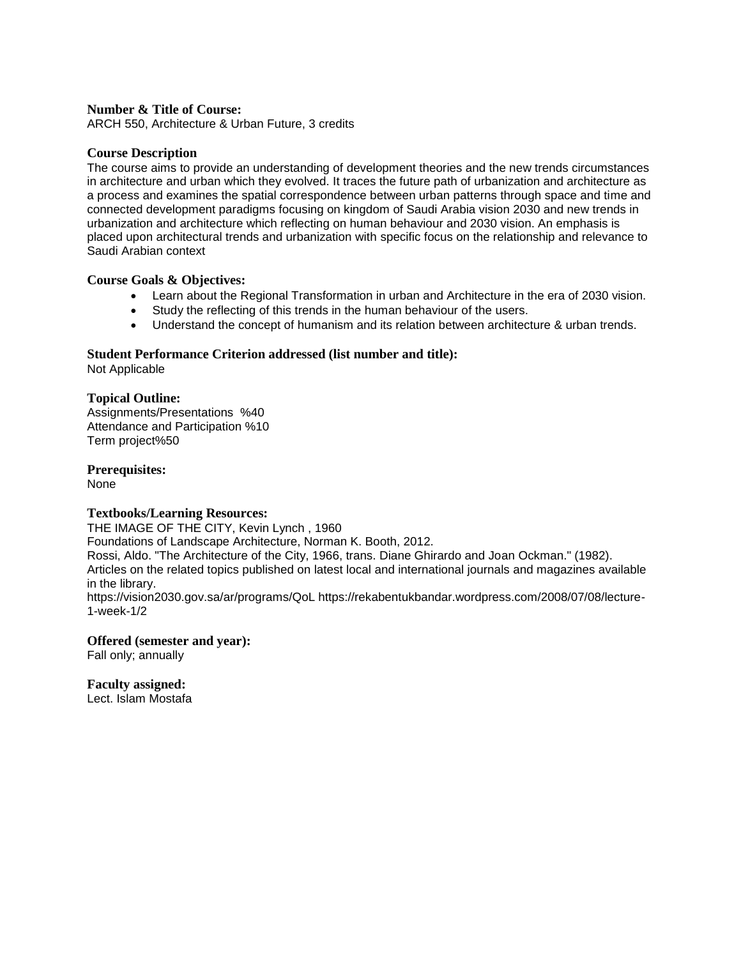ARCH 550, Architecture & Urban Future, 3 credits

#### **Course Description**

The course aims to provide an understanding of development theories and the new trends circumstances in architecture and urban which they evolved. It traces the future path of urbanization and architecture as a process and examines the spatial correspondence between urban patterns through space and time and connected development paradigms focusing on kingdom of Saudi Arabia vision 2030 and new trends in urbanization and architecture which reflecting on human behaviour and 2030 vision. An emphasis is placed upon architectural trends and urbanization with specific focus on the relationship and relevance to Saudi Arabian context

#### **Course Goals & Objectives:**

- Learn about the Regional Transformation in urban and Architecture in the era of 2030 vision.
- Study the reflecting of this trends in the human behaviour of the users.
- Understand the concept of humanism and its relation between architecture & urban trends.

### **Student Performance Criterion addressed (list number and title):**

Not Applicable

### **Topical Outline:**

Assignments/Presentations %40 Attendance and Participation %10 Term project%50

**Prerequisites:**  None

#### **Textbooks/Learning Resources:**

THE IMAGE OF THE CITY, Kevin Lynch , 1960 Foundations of Landscape Architecture, Norman K. Booth, 2012. Rossi, Aldo. "The Architecture of the City, 1966, trans. Diane Ghirardo and Joan Ockman." (1982). Articles on the related topics published on latest local and international journals and magazines available in the library. https://vision2030.gov.sa/ar/programs/QoL https://rekabentukbandar.wordpress.com/2008/07/08/lecture-1-week-1/2

**Offered (semester and year):** Fall only; annually

**Faculty assigned:**

Lect. Islam Mostafa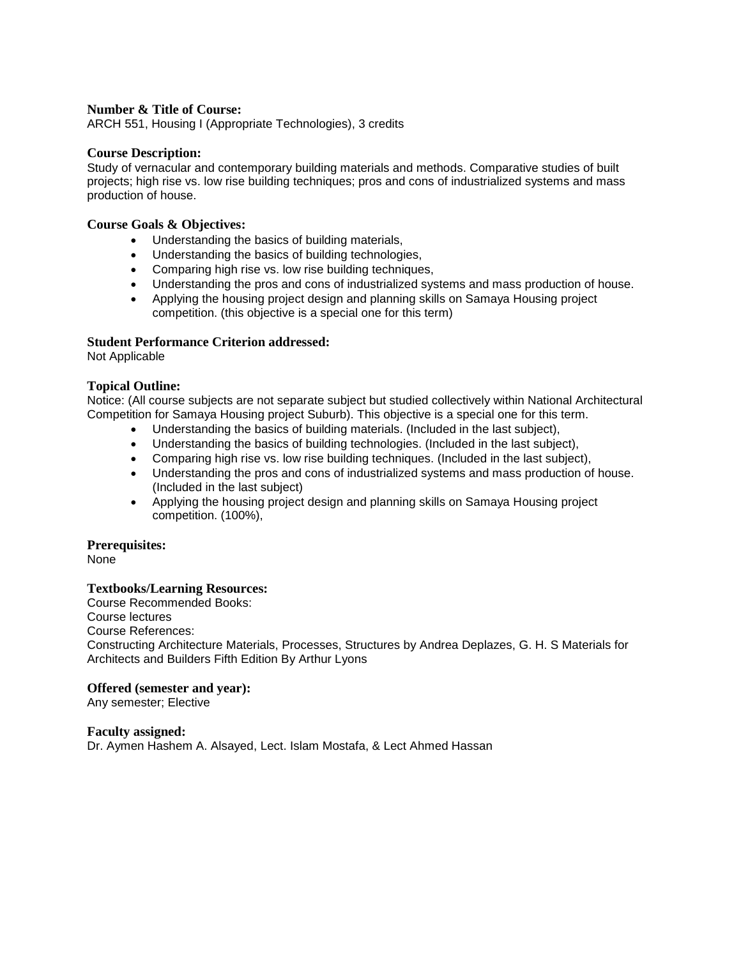ARCH 551, Housing I (Appropriate Technologies), 3 credits

#### **Course Description:**

Study of vernacular and contemporary building materials and methods. Comparative studies of built projects; high rise vs. low rise building techniques; pros and cons of industrialized systems and mass production of house.

#### **Course Goals & Objectives:**

- Understanding the basics of building materials,
- Understanding the basics of building technologies,
- Comparing high rise vs. low rise building techniques,
- Understanding the pros and cons of industrialized systems and mass production of house.
- Applying the housing project design and planning skills on Samaya Housing project competition. (this objective is a special one for this term)

#### **Student Performance Criterion addressed:**

Not Applicable

### **Topical Outline:**

Notice: (All course subjects are not separate subject but studied collectively within National Architectural Competition for Samaya Housing project Suburb). This objective is a special one for this term.

- Understanding the basics of building materials. (Included in the last subject),
- Understanding the basics of building technologies. (Included in the last subject),
- Comparing high rise vs. low rise building techniques. (Included in the last subject),
- Understanding the pros and cons of industrialized systems and mass production of house. (Included in the last subject)
- Applying the housing project design and planning skills on Samaya Housing project competition. (100%),

### **Prerequisites:**

None

#### **Textbooks/Learning Resources:**

Course Recommended Books: Course lectures Course References: Constructing Architecture Materials, Processes, Structures by Andrea Deplazes, G. H. S Materials for Architects and Builders Fifth Edition By Arthur Lyons

#### **Offered (semester and year):**

Any semester; Elective

**Faculty assigned:** Dr. Aymen Hashem A. Alsayed, Lect. Islam Mostafa, & Lect Ahmed Hassan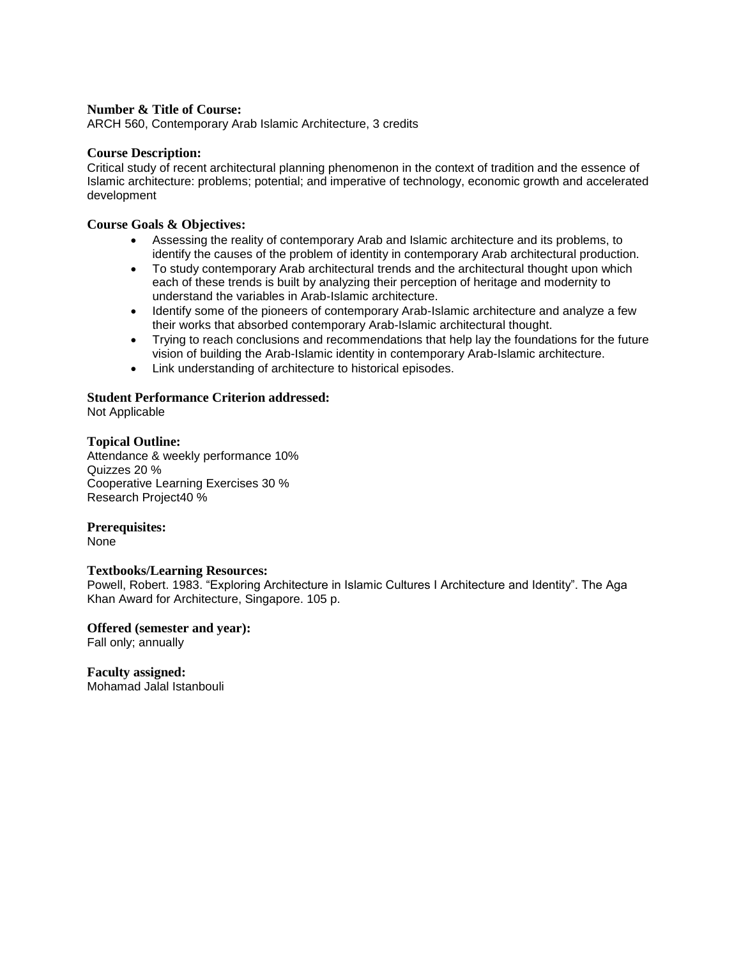ARCH 560, Contemporary Arab Islamic Architecture, 3 credits

#### **Course Description:**

Critical study of recent architectural planning phenomenon in the context of tradition and the essence of Islamic architecture: problems; potential; and imperative of technology, economic growth and accelerated development

### **Course Goals & Objectives:**

- Assessing the reality of contemporary Arab and Islamic architecture and its problems, to identify the causes of the problem of identity in contemporary Arab architectural production.
- To study contemporary Arab architectural trends and the architectural thought upon which each of these trends is built by analyzing their perception of heritage and modernity to understand the variables in Arab-Islamic architecture.
- Identify some of the pioneers of contemporary Arab-Islamic architecture and analyze a few their works that absorbed contemporary Arab-Islamic architectural thought.
- Trying to reach conclusions and recommendations that help lay the foundations for the future vision of building the Arab-Islamic identity in contemporary Arab-Islamic architecture.
- Link understanding of architecture to historical episodes.

### **Student Performance Criterion addressed:**

Not Applicable

### **Topical Outline:**

Attendance & weekly performance 10% Quizzes 20 % Cooperative Learning Exercises 30 % Research Project40 %

#### **Prerequisites:**

None

#### **Textbooks/Learning Resources:**

Powell, Robert. 1983. "Exploring Architecture in Islamic Cultures I Architecture and Identity". The Aga Khan Award for Architecture, Singapore. 105 p.

#### **Offered (semester and year):** Fall only; annually

**Faculty assigned:** Mohamad Jalal Istanbouli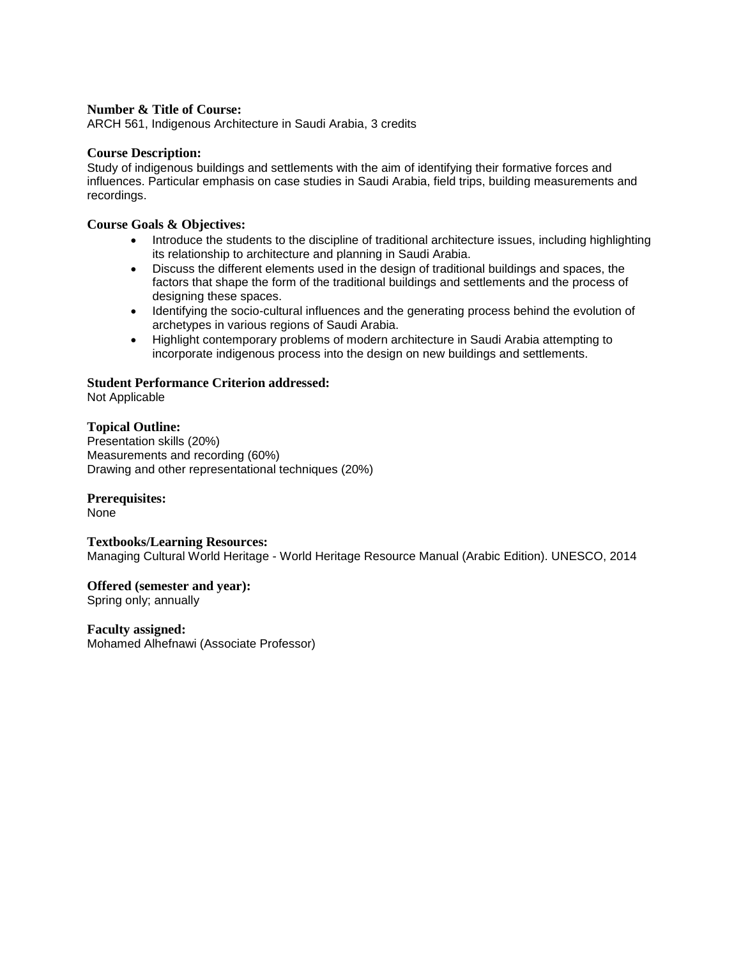ARCH 561, Indigenous Architecture in Saudi Arabia, 3 credits

#### **Course Description:**

Study of indigenous buildings and settlements with the aim of identifying their formative forces and influences. Particular emphasis on case studies in Saudi Arabia, field trips, building measurements and recordings.

### **Course Goals & Objectives:**

- Introduce the students to the discipline of traditional architecture issues, including highlighting its relationship to architecture and planning in Saudi Arabia.
- Discuss the different elements used in the design of traditional buildings and spaces, the factors that shape the form of the traditional buildings and settlements and the process of designing these spaces.
- Identifying the socio-cultural influences and the generating process behind the evolution of archetypes in various regions of Saudi Arabia.
- Highlight contemporary problems of modern architecture in Saudi Arabia attempting to incorporate indigenous process into the design on new buildings and settlements.

### **Student Performance Criterion addressed:**

Not Applicable

### **Topical Outline:**

Presentation skills (20%) Measurements and recording (60%) Drawing and other representational techniques (20%)

### **Prerequisites:**

None

#### **Textbooks/Learning Resources:**

Managing Cultural World Heritage - World Heritage Resource Manual (Arabic Edition). UNESCO, 2014

**Offered (semester and year):** Spring only; annually

**Faculty assigned:** Mohamed Alhefnawi (Associate Professor)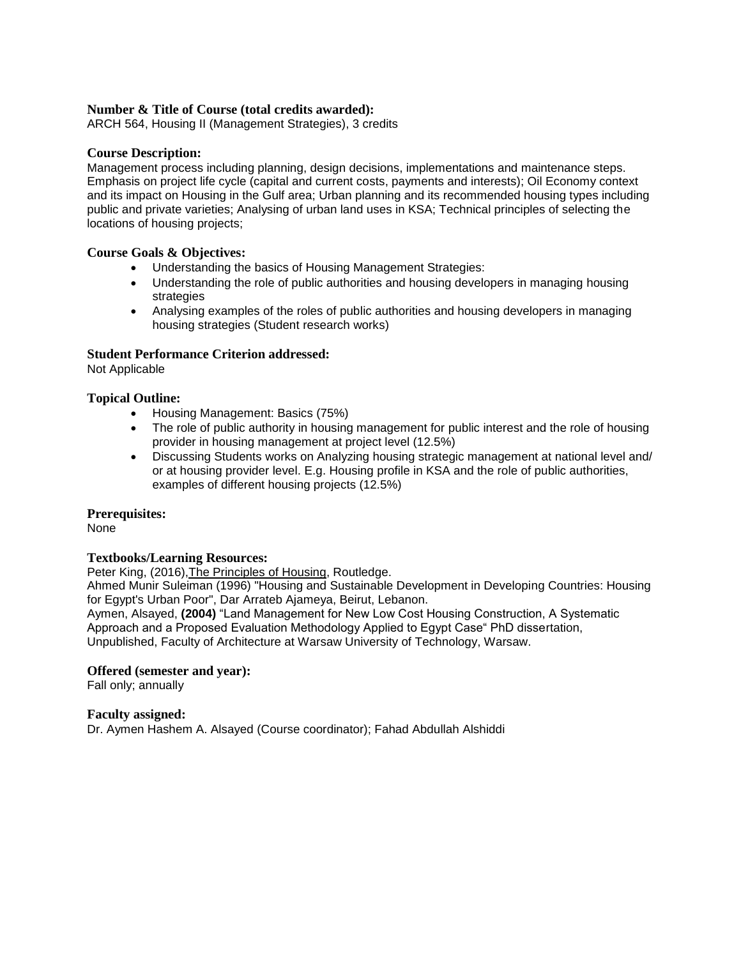### **Number & Title of Course (total credits awarded):**

ARCH 564, Housing II (Management Strategies), 3 credits

### **Course Description:**

Management process including planning, design decisions, implementations and maintenance steps. Emphasis on project life cycle (capital and current costs, payments and interests); Oil Economy context and its impact on Housing in the Gulf area; Urban planning and its recommended housing types including public and private varieties; Analysing of urban land uses in KSA; Technical principles of selecting the locations of housing projects;

### **Course Goals & Objectives:**

- Understanding the basics of Housing Management Strategies:
- Understanding the role of public authorities and housing developers in managing housing strategies
- Analysing examples of the roles of public authorities and housing developers in managing housing strategies (Student research works)

### **Student Performance Criterion addressed:**

Not Applicable

### **Topical Outline:**

- Housing Management: Basics (75%)
- The role of public authority in housing management for public interest and the role of housing provider in housing management at project level (12.5%)
- Discussing Students works on Analyzing housing strategic management at national level and/ or at housing provider level. E.g. Housing profile in KSA and the role of public authorities, examples of different housing projects (12.5%)

#### **Prerequisites:**

None

#### **Textbooks/Learning Resources:**

Peter King, (2016),The Principles of Housing, Routledge.

Ahmed Munir Suleiman (1996) "Housing and Sustainable Development in Developing Countries: Housing for Egypt's Urban Poor", Dar Arrateb Ajameya, Beirut, Lebanon.

Aymen, Alsayed, **(2004)** "Land Management for New Low Cost Housing Construction, A Systematic Approach and a Proposed Evaluation Methodology Applied to Egypt Case" PhD dissertation, Unpublished, Faculty of Architecture at Warsaw University of Technology, Warsaw.

#### **Offered (semester and year):**

Fall only; annually

#### **Faculty assigned:**

Dr. Aymen Hashem A. Alsayed (Course coordinator); Fahad Abdullah Alshiddi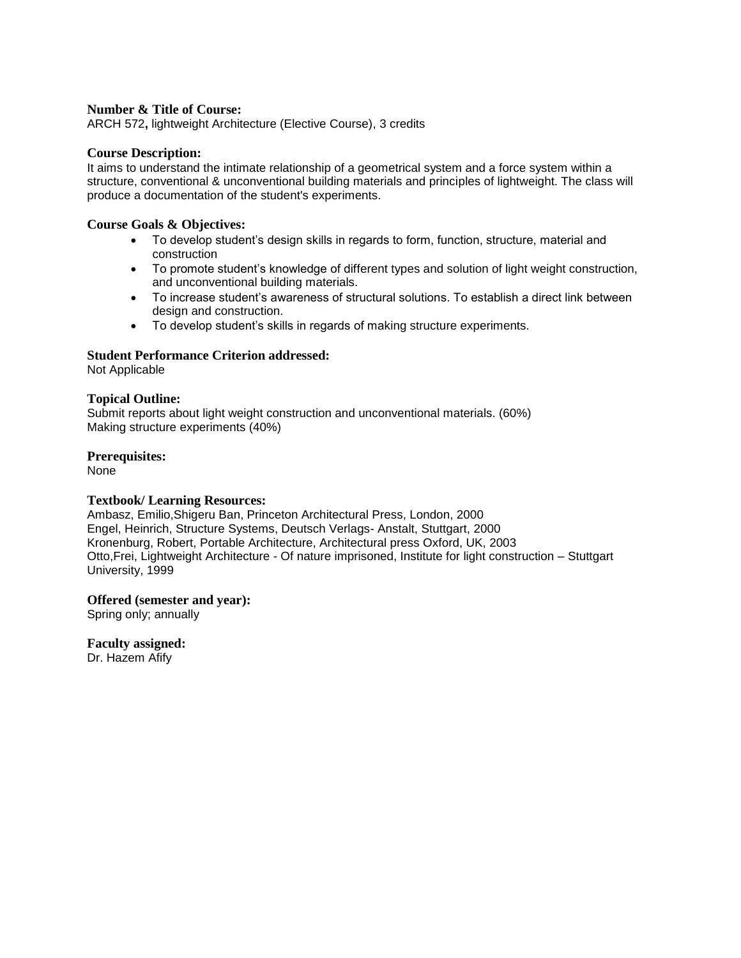ARCH 572**,** lightweight Architecture (Elective Course), 3 credits

#### **Course Description:**

It aims to understand the intimate relationship of a geometrical system and a force system within a structure, conventional & unconventional building materials and principles of lightweight. The class will produce a documentation of the student's experiments.

#### **Course Goals & Objectives:**

- To develop student's design skills in regards to form, function, structure, material and construction
- To promote student's knowledge of different types and solution of light weight construction, and unconventional building materials.
- To increase student's awareness of structural solutions. To establish a direct link between design and construction.
- To develop student's skills in regards of making structure experiments.

### **Student Performance Criterion addressed:**

Not Applicable

### **Topical Outline:**

Submit reports about light weight construction and unconventional materials. (60%) Making structure experiments (40%)

#### **Prerequisites:**

None

#### **Textbook/ Learning Resources:**

Ambasz, Emilio,Shigeru Ban, Princeton Architectural Press, London, 2000 Engel, Heinrich, Structure Systems, Deutsch Verlags- Anstalt, Stuttgart, 2000 Kronenburg, Robert, Portable Architecture, Architectural press Oxford, UK, 2003 Otto,Frei, Lightweight Architecture - Of nature imprisoned, Institute for light construction – Stuttgart University, 1999

#### **Offered (semester and year):**

Spring only; annually

#### **Faculty assigned:**

Dr. Hazem Afify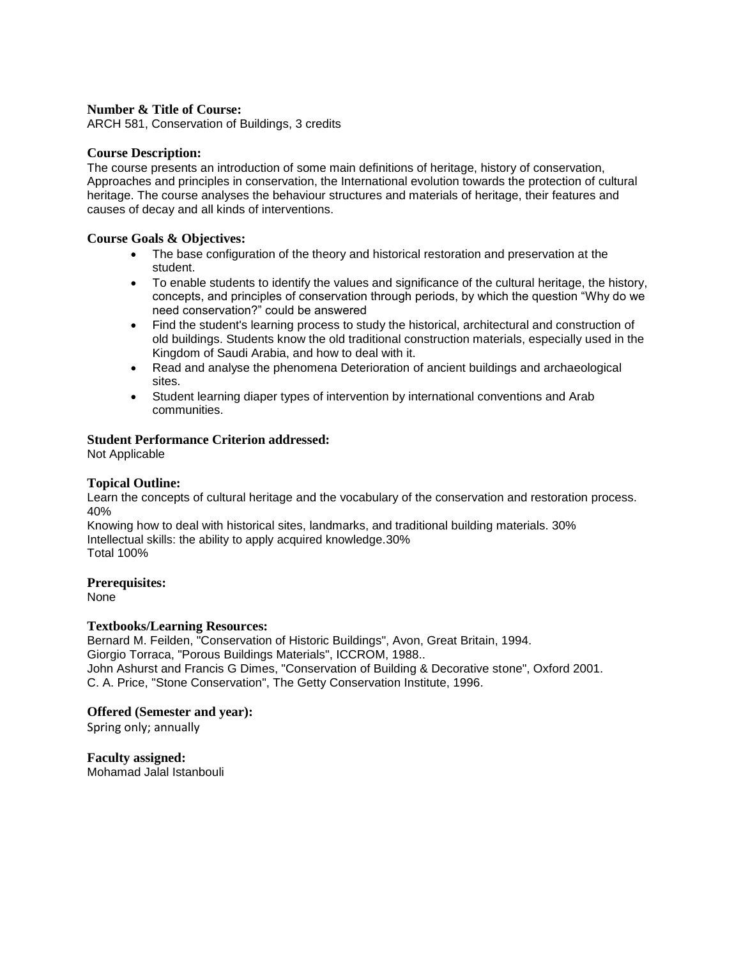ARCH 581, Conservation of Buildings, 3 credits

#### **Course Description:**

The course presents an introduction of some main definitions of heritage, history of conservation, Approaches and principles in conservation, the International evolution towards the protection of cultural heritage. The course analyses the behaviour structures and materials of heritage, their features and causes of decay and all kinds of interventions.

#### **Course Goals & Objectives:**

- The base configuration of the theory and historical restoration and preservation at the student.
- To enable students to identify the values and significance of the cultural heritage, the history, concepts, and principles of conservation through periods, by which the question "Why do we need conservation?" could be answered
- Find the student's learning process to study the historical, architectural and construction of old buildings. Students know the old traditional construction materials, especially used in the Kingdom of Saudi Arabia, and how to deal with it.
- Read and analyse the phenomena Deterioration of ancient buildings and archaeological sites.
- Student learning diaper types of intervention by international conventions and Arab communities.

### **Student Performance Criterion addressed:**

Not Applicable

#### **Topical Outline:**

Learn the concepts of cultural heritage and the vocabulary of the conservation and restoration process. 40%

Knowing how to deal with historical sites, landmarks, and traditional building materials. 30% Intellectual skills: the ability to apply acquired knowledge.30% Total 100%

#### **Prerequisites:**

None

### **Textbooks/Learning Resources:**

Bernard M. Feilden, "Conservation of Historic Buildings", Avon, Great Britain, 1994. Giorgio Torraca, "Porous Buildings Materials", ICCROM, 1988.. John Ashurst and Francis G Dimes, "Conservation of Building & Decorative stone", Oxford 2001. C. A. Price, "Stone Conservation", The Getty Conservation Institute, 1996.

#### **Offered (Semester and year):**

Spring only; annually

# **Faculty assigned:**

Mohamad Jalal Istanbouli